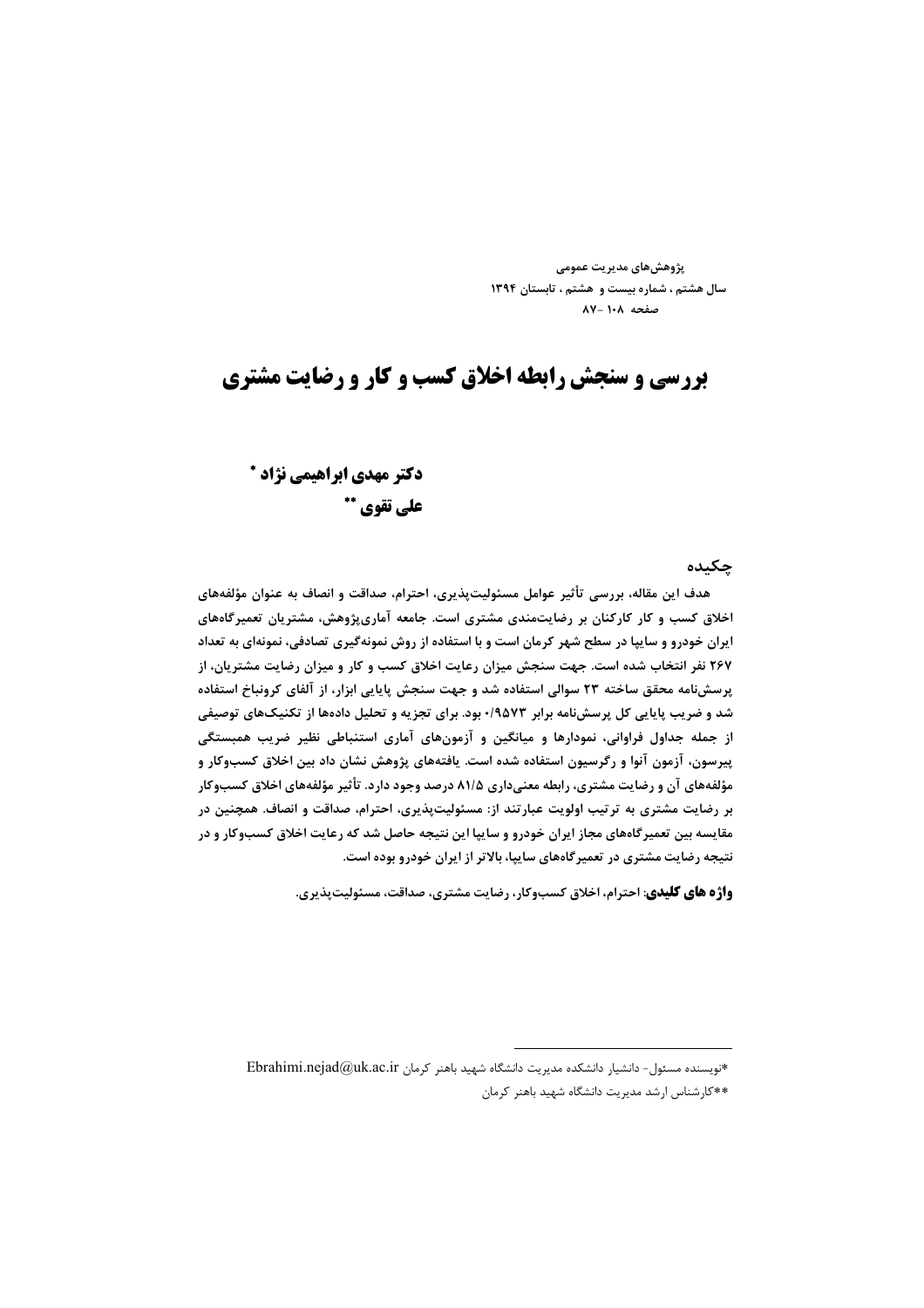پژوهش های مدیریت عمومے سال هشتم ، شماره بیست و هشتم ، تابستان ١٣٩٤ صفحه ١٠٨-٨٧

# بررسی و سنجش رابطه اخلاق کسب و کار و رضایت مشتری

دکتر مهدی ابراهیمی نژاد \* على تقوى \*\*

جكىدە

هدف این مقاله، بررسی تأثیر عوامل مسئولیتپذیری، احترام، صداقت و انصاف به عنوان مؤلفههای اخلاق کسب و کار کارکنان بر رضایتمندی مشتری است. جامعه آماریپژوهش، مشتریان تعمیرگاههای ایران خودرو و سایپا در سطح شهر کرمان است و با استفاده از روش نمونهگیری تصادفی، نمونهای به تعداد ۲۶۷ نفر انتخاب شده است. جهت سنجش میزان رعایت اخلاق کسب و کار و میزان رضایت مشتریان، از پرسشنامه محقق ساخته ٢٣ سوالی استفاده شد و جهت سنجش پایایی ابزار، از آلفای کرونباخ استفاده شد و ضریب پایایی کل پرسشiامه برابر ۱۹۵۷۳ بود. برای تجزیه و تحلیل دادهها از تکنیکهای توصیفی از جمله جداول فراوانی، نمودارها و میانگین و آزمونهای آماری استنباطی نظیر ضریب همبستگی پیرسون، آزمون آنوا و رگرسیون استفاده شده است. یافتههای پژوهش نشان داد بین اخلاق کسبوکار و مؤلفههای آن و رضایت مشتری، رابطه معنیداری ۸۱/۵ درصد وجود دارد. تأثیر مؤلفههای اخلاق کسبوکار بر رضایت مشتری به ترتیب اولویت عبارتند از: مسئولیتپذیری، احترام، صداقت و انصاف. همچنین در مقایسه بین تعمیرگاههای مجاز ایران خودرو و سایپا این نتیجه حاصل شد که رعایت اخلاق کسبوکار و در نتیجه رضایت مشتری در تعمیرگاههای سایپا، بالاتر از ایران خودرو بوده است.

**واژه های کلیدی**: احترام، اخلاق کسبوکار، رضایت مشتری، صداقت، مسئولیت پذیری.

<sup>\*</sup>نویسنده مسئول- دانشیار دانشکده مدیریت دانشگاه شهید باهنر کرمان Ebrahimi.nejad@uk.ac.ir \*\*کارشناس ارشد مدیریت دانشگاه شهید باهنر کرمان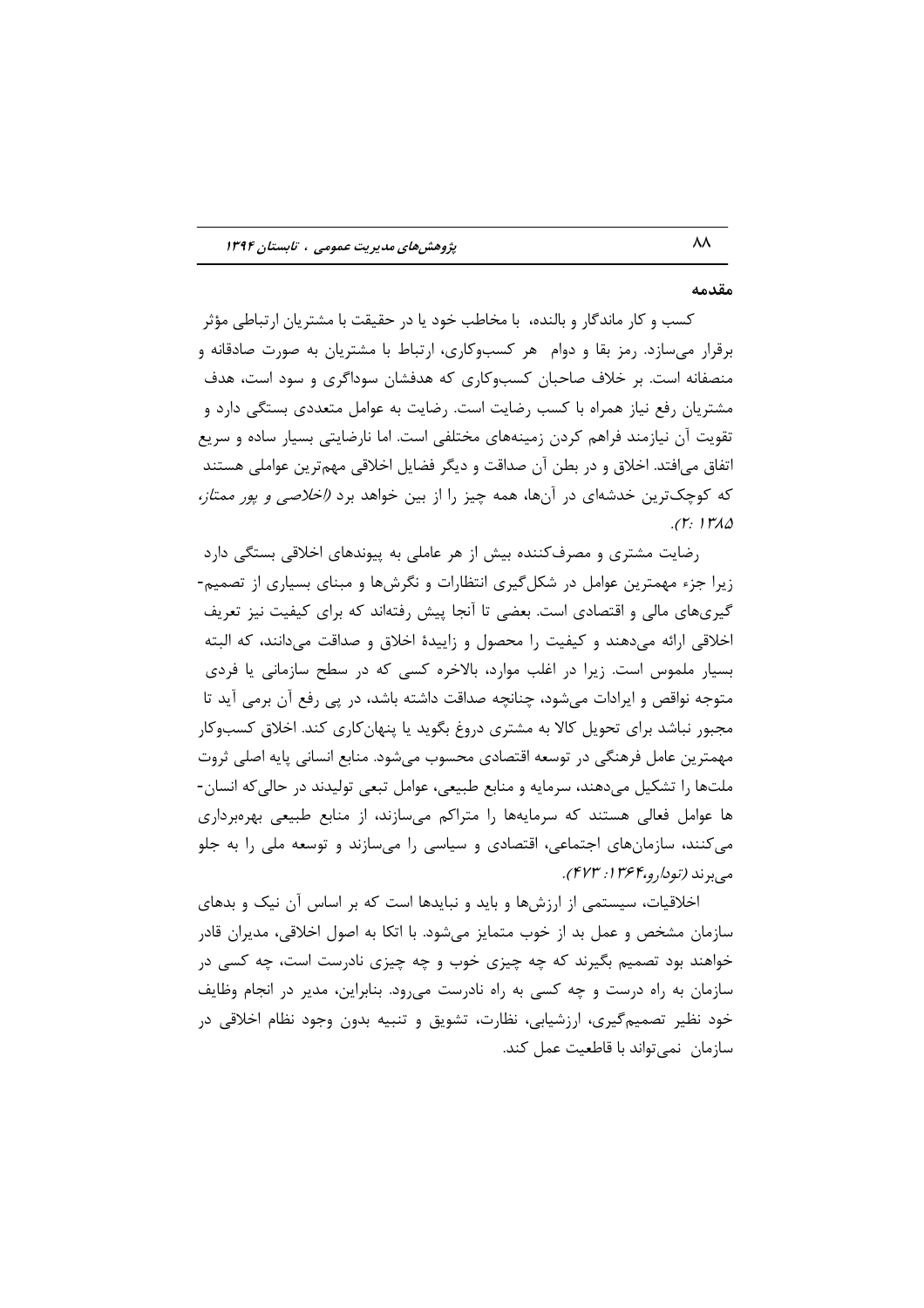#### مقدمه

کسب و کار ماندگار و بالنده، با مخاطب خود یا در حقیقت با مشتریان ارتباطی مؤثر برقرار می سازد. رمز بقا و دوام هر کسبوکاری، ارتباط با مشتریان به صورت صادقانه و منصفانه است. بر خلاف صاحبان کسبوکاری که هدفشان سوداگری و سود است، هدف مشتریان رفع نیاز همراه با کسب رضایت است. رضایت به عوامل متعددی بستگی دارد و تقویت آن نیازمند فراهم کردن زمینههای مختلفی است. اما نارضایتی بسیار ساده و سریع اتفاق می|فتد. اخلاق و در بطن آن صداقت و دیگر فضایل اخلاقی مهمترین عواملی هستند که کوچکترین خدشهای در آنها، همه چیز را از بین خواهد برد *(اخلاصی و پور ممتاز،*  $(T:1TA\Delta)$ 

رضایت مشتری و مصرف کننده بیش از هر عاملی به پیوندهای اخلاقی بستگی دارد زیرا جزء مهمترین عوامل در شکلگیری انتظارات و نگرشها و مبنای بسیاری از تصمیم-گیریهای مالی و اقتصادی است. بعضی تا آنجا پیش رفتهاند که برای کیفیت نیز تعریف اخلاقی ارائه میدهند و کیفیت را محصول و زاییدهٔ اخلاق و صداقت میدانند، که البته بسیار ملموس است. زیرا در اغلب موارد، بالاخره کسی که در سطح سازمانی یا فردی متوجه نواقص و ایرادات میشود، چنانچه صداقت داشته باشد، در پی رفع آن برمی آید تا مجبور نباشد برای تحویل کالا به مشتری دروغ بگوید یا پنهانکاری کند. اخلاق کسبوکار مهمترین عامل فرهنگی در توسعه اقتصادی محسوب میشود. منابع انسانی پایه اصلی ثروت ملتها را تشکیل میدهند، سرمایه و منابع طبیعی، عوامل تبعی تولیدند در حالی که انسان-ها عوامل فعالی هستند که سرمایهها را متراکم میسازند، از منابع طبیعی بهرهبرداری می کنند، سازمانهای اجتماعی، اقتصادی و سیاسی را میسازند و توسعه ملی را به جلو مې برند (تودا دو،۴۶۴ نه ۴۷۳).

اخلاقیات، سیستمی از ارزشها و باید و نبایدها است که بر اساس آن نیک و بدهای سازمان مشخص و عمل بد از خوب متمایز میشود. با اتکا به اصول اخلاقی، مدیران قادر خواهند بود تصمیم بگیرند که چه چیزی خوب و چه چیزی نادرست است، چه کسی در سازمان به راه درست و چه کسی به راه نادرست میرود. بنابراین، مدیر در انجام وظایف خود نظیر تصمیم گیری، ارزشیابی، نظارت، تشویق و تنبیه بدون وجود نظام اخلاقی در سازمان نمی تواند با قاطعیت عمل کند.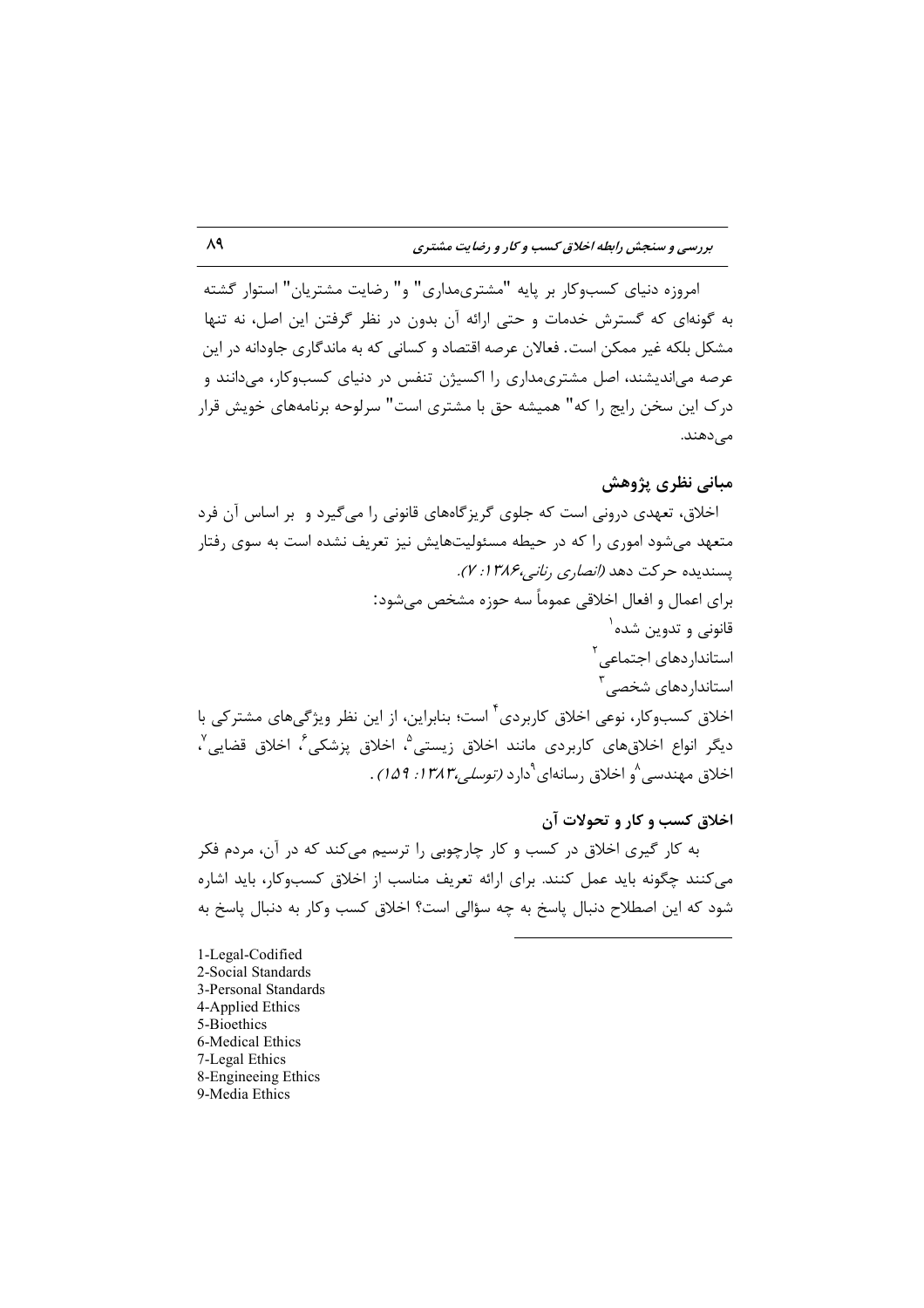امروزه دنیای کسبوکار بر پایه "مشتریمداری" و" رضایت مشتریان" استوار گشته به گونهای که گسترش خدمات و حتی ارائه آن بدون در نظر گرفتن این اصل، نه تنها مشکل بلکه غیر ممکن است. فعالان عرصه اقتصاد و کسانی که به ماندگاری جاودانه در این عرصه میاندیشند، اصل مشتریمداری را اکسیژن تنفس در دنیای کسبوکار، میدانند و درک این سخن رایج را که" همیشه حق با مشتری است" سرلوحه برنامههای خویش قرار مے دھند.

مبانی نظری پژوهش

اخلاق، تعهدی درونی است که جلوی گریزگاههای قانونی را میگیرد و بر اساس آن فرد متعهد میشود اموری را که در حیطه مسئولیتهایش نیز تعریف نشده است به سوی رفتار پسنديده حركت دهد *(انصارى رناني،۱۳۸۶: ۲).* برای اعمال و افعال اخلاقی عموماً سه حوزه مشخص میشود: قانونی و تدوین شده<sup>۱</sup> استانداردهای اجتماعی<sup>۲</sup> استاندا<sub>ر</sub> دهای شخصی <sup>۲</sup> اخلاق کسبوکار، نوعی اخلاق کاربردی<sup>۴</sup> است؛ بنابراین، از این نظر ویژگیهای مشترکی با دیگر انواع اخلاق،های کاربردی مانند اخلاق زیستی<sup>م</sup>ْ، اخلاق پزشکی<sup>۶</sup>، اخلاق قضایی<sup>۷</sup>، اخلاق مهندسي<sup>^</sup>و اخلاق رسانهاي<sup>°</sup>دارد *(توسلي،١٣٨٣: ١۵٩)*.

**اخلاق کسب و کار و تحولات آن** 

به کار گیری اخلاق در کسب و کار چارچوبی را ترسیم میکند که در آن، مردم فکر میکنند چگونه باید عمل کنند. برای ارائه تعریف مناسب از اخلاق کسبوکار، باید اشاره شود که این اصطلاح دنبال پاسخ به چه سؤالی است؟ اخلاق کسب وکار به دنبال پاسخ به

1-Legal-Codified 2-Social Standards 3-Personal Standards 4-Applied Ethics 5-Bioethics 6-Medical Ethics 7-Legal Ethics 8-Engineeing Ethics 9-Media Ethics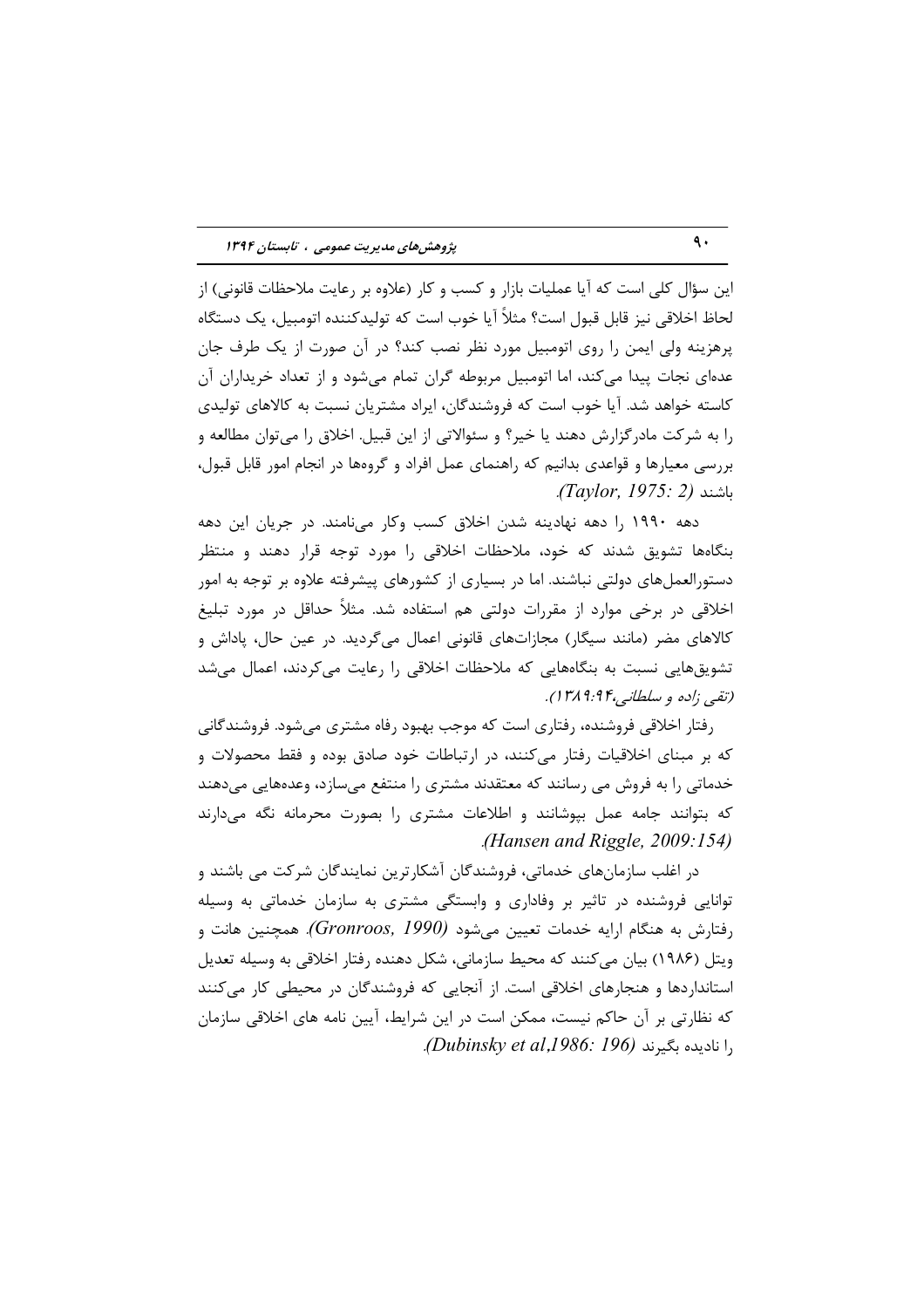این سؤال کلی است که آیا عملیات بازار و کسب و کار (علاوه بر رعایت ملاحظات قانونی) از لحاظ اخلاقی نیز قابل قبول است؟ مثلاً آیا خوب است که تولیدکننده اتومبیل، یک دستگاه پرهزینه ولی ایمن را روی اتومبیل مورد نظر نصب کند؟ در آن صورت از یک طرف جان عدهای نجات پیدا می کند، اما اتومبیل مربوطه گران تمام می شود و از تعداد خریداران آن کاسته خواهد شد. آیا خوب است که فروشندگان، ایراد مشتریان نسبت به کالاهای تولیدی را به شركت مادرگزارش دهند يا خير؟ و سئوالاتي از اين قبيل. اخلاق را مي توان مطالعه و بررسی معیارها و قواعدی بدانیم که راهنمای عمل افراد و گروهها در انجام امور قابل قبول، ىاشند (Taylor, 1975: 2).

دهه ۱۹۹۰ ٫ا دهه نهادینه شدن اخلاق کسب وکار مینامند. در جریان این دهه بنگاهها تشویق شدند که خود، ملاحظات اخلاقی را مورد توجه قرار دهند و منتظر دستورالعملهای دولتی نباشند. اما در بسیاری از کشورهای پیشرفته علاوه بر توجه به امور اخلاقی در برخی موارد از مقررات دولتی هم استفاده شد. مثلاً حداقل در مورد تبلیغ کالاهای مضر (مانند سیگار) مجازاتهای قانونی اعمال می گردید. در عین حال، یاداش و تشویقهایی نسبت به بنگاههایی که ملاحظات اخلاقی را رعایت میکردند، اعمال میشد (تقبي زاده و سلطاني،١٣٨٩:٩/٣).

رفتار اخلاقی فروشنده، رفتاری است که موجب بهبود رفاه مشتری میشود. فروشندگانی که بر مبنای اخلاقیات رفتار میکنند، در ارتباطات خود صادق بوده و فقط محصولات و خدماتی را به فروش می رسانند که معتقدند مشتری را منتفع میسازد، وعدههایی میدهند که بتوانند جامه عمل بیوشانند و اطلاعات مشتری را بصورت محرمانه نگه میدارند  $Hansen$  and Riggle, 2009:154).

در اغلب سازمانهای خدماتی، فروشندگان آشکارترین نمایندگان شرکت می باشند و توانایی فروشنده در تاثیر بر وفاداری و وابستگی مشتری به سازمان خدماتی به وسیله رفتارش به هنگام ارایه خدمات تعیین می شود (Gronroos, 1990). همچنین هانت و ويتل (١٩٨۶) بيان مي كنند كه محيط سازماني، شكل دهنده رفتار اخلاقي به وسيله تعديل استانداردها و هنجارهای اخلاقی است. از آنجایی که فروشندگان در محیطی کار می کنند که نظارتی بر آن حاکم نیست، ممکن است در این شرایط، آیین نامه های اخلاقی سازمان .(انادیده یگیرند (Dubinsky et al,1986: 196).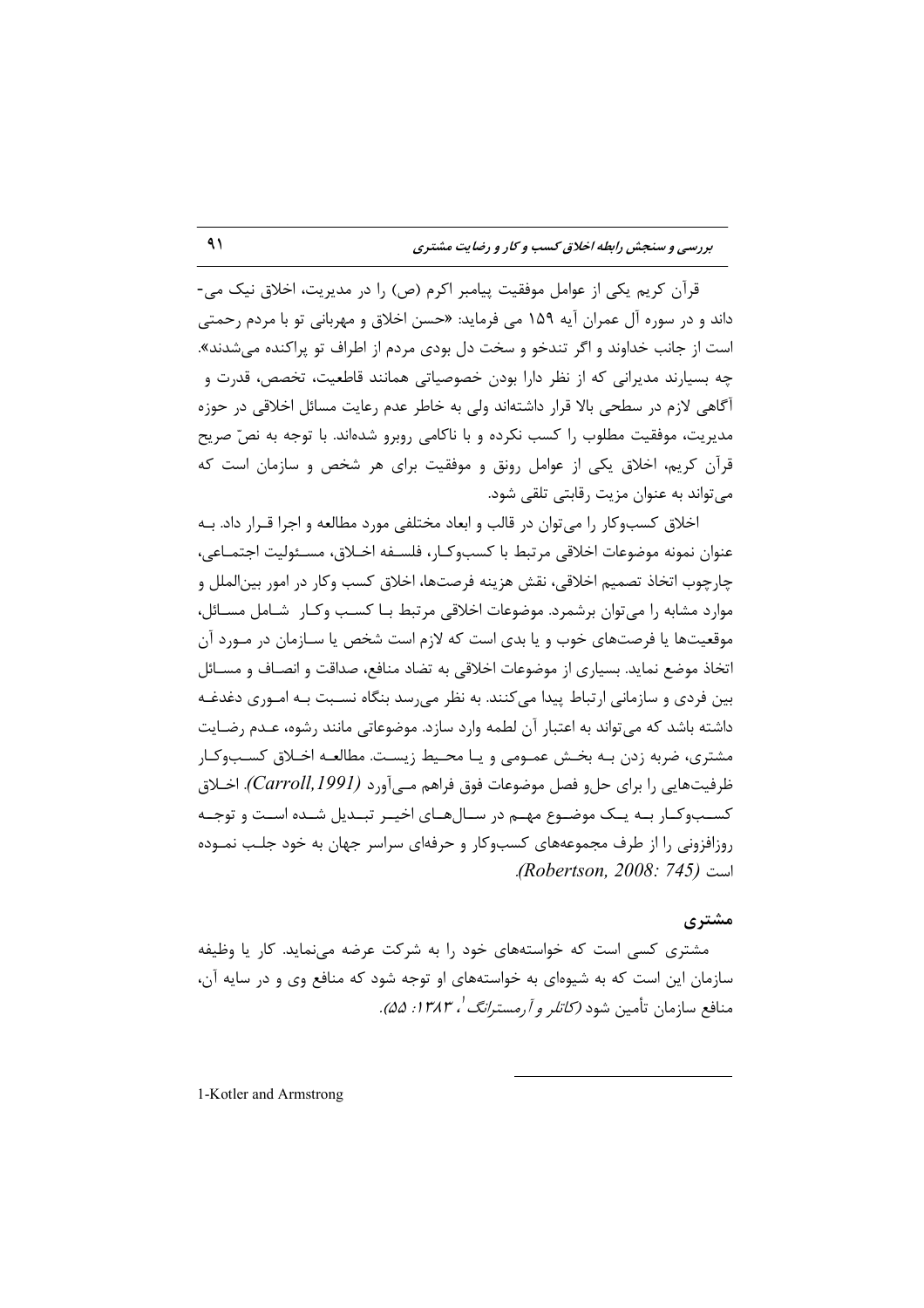قرآن کریم یکی از عوامل موفقیت پیامبر اکرم (ص) را در مدیریت، اخلاق نیک می-داند و در سوره آل عمران آیه ۱۵۹ می فرماید: «حسن اخلاق و مهربانی تو با مردم رحمتی است از جانب خداوند و اگر تندخو و سخت دل بودی مردم از اطراف تو پراکنده می *شدند*». چه بسیارند مدیرانی که از نظر دارا بودن خصوصیاتی همانند قاطعیت، تخصص، قدرت و آگاهی لازم در سطحی بالا قرار داشتهاند ولی به خاطر عدم رعایت مسائل اخلاقی در حوزه مديريت، موفقيت مطلوب ٫ا كسب نكرده و با ناكامي ٫وبرو شدهاند. با توجه به نصِّ صريح قرآن کریم، اخلاق یکی از عوامل رونق و موفقیت برای هر شخص و سازمان است که می تواند به عنوان مزیت رقابتی تلقی شود.

اخلاق کسبوکار را می توان در قالب و ابعاد مختلفی مورد مطالعه و اجرا قـرار داد. بـه عنوان نمونه موضوعات اخلاقي مرتبط با كسب1وكار، فلسـفه اخــلاق، مسـئوليت اجتمــاعي، چارچوب اتخاذ تصميم اخلاقي، نقش هزينه فرصتها، اخلاق كسب وكار در امور بينالملل و موارد مشابه را می توان برشمرد. موضوعات اخلاقی مرتبط بـا کسـب وکـار شـامل مسـائل، موقعیتها یا فرصتهای خوب و یا بدی است که لازم است شخص یا سـازمان در مـورد آن اتخاذ موضع نمايد. بسياري از موضوعات اخلاقي به تضاد منافع، صداقت و انصـاف و مسـائل بین فردی و سازمانی ارتباط پیدا میکنند. به نظر می رسد بنگاه نسـبت بـه امـوری دغدغـه داشته باشد که می تواند به اعتبار آن لطمه وارد سازد. موضوعاتی مانند رشوه، عـدم رضـایت مشتری، ضربه زدن بـه بخـش عمـومی و یـا محـیط زیسـت. مطالعـه اخـلاق کسـبوکـار ظرفیتهایی را برای حل و فصل موضوعات فوق فراهم مــ آورد (Carroll, 1991). اخــلاق کســبوکــار بــه یــک موضــوع مهــم در ســالهــای اخیــر تبــدیل شــده اســت و توجــه روزافزونی را از طرف مجموعههای کسبوکار و حرفهای سراسر جهان به خود جلب نمـوده است (Robertson, 2008: 745).

مشتري

مشتری کسی است که خواستههای خود را به شرکت عرضه می نماید. کار یا وظیفه سازمان این است که به شیوهای به خواستههای او توجه شود که منافع وی و در سایه آن، منافع سازمان تأمین شود *(کاتلر و آرمسترانگ <sup>ا</sup> ۱۳۸۳: ۵۵).* 

1-Kotler and Armstrong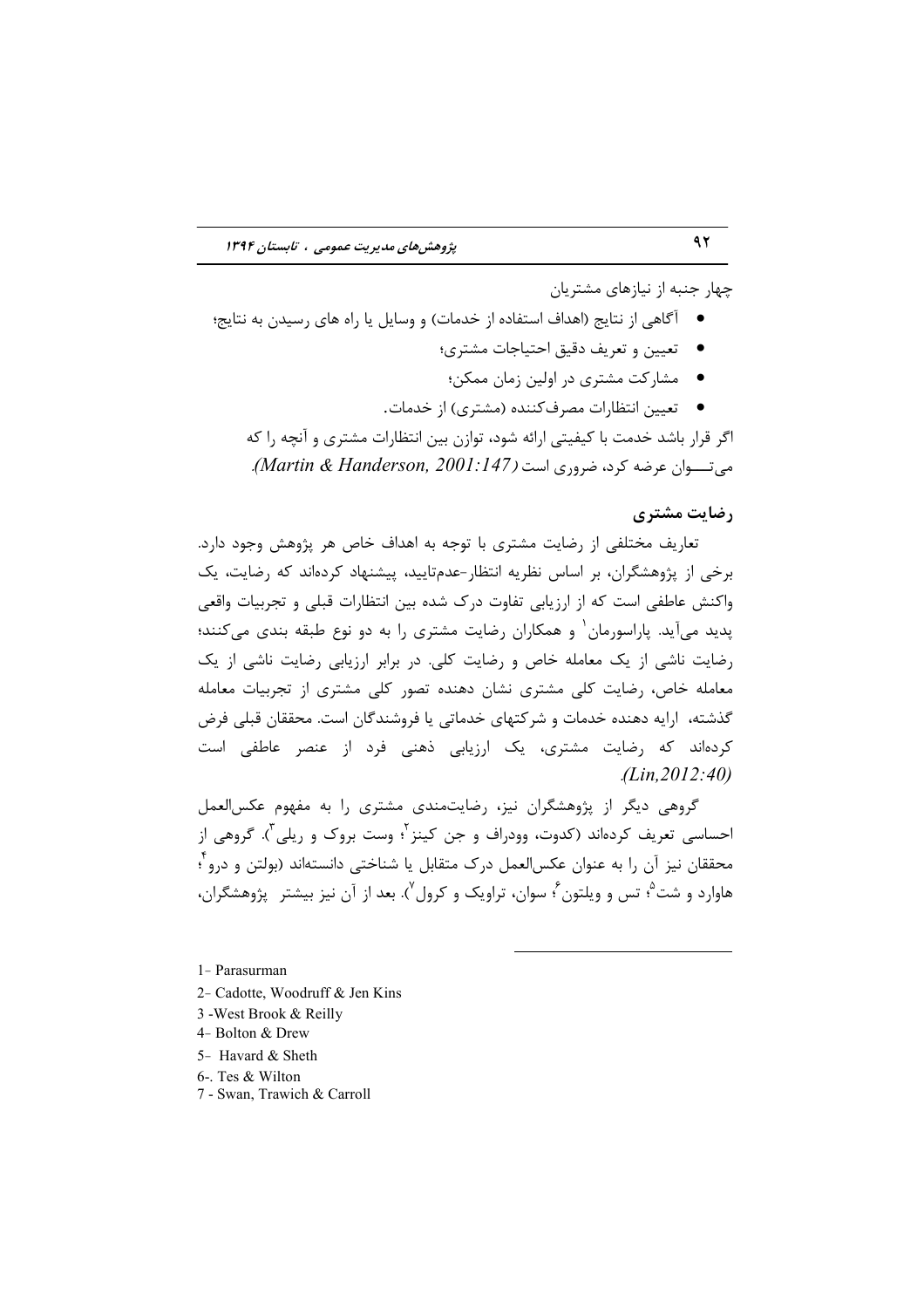چهار جنبه از نیازهای مشتریان

- \_ آگاهی از نتایج (اهداف استفاده از خدمات) و وسایل یا راه های رسیدن به نتایج؛
	- تعیین و تعریف دقیق احتیاجات مشتری؛
	- مشارکت مشتری در اولین زمان ممکن؛
	- تعیین انتظارات مصرفکننده (مشتری) از خدمات.

اگر قرار باشد خدمت با کیفیتی ارائه شود، توازن بین انتظارات مشتری و آنچه را که میتوان عرضه کرد، ضروری است (Martin & Handerson, 2001:147).

## رضایت مشتری

تعاریف مختلفی از رضایت مشتری با توجه به اهداف خاص هر پژوهش وجود دارد. برخی از پژوهشگران، بر اساس نظریه انتظار-عدمتایید، پیشنهاد کردهاند که رضایت، یک واکنش عاطفی است که از ارزیابی تفاوت درک شده بین انتظارات قبلی و تجربیات واقعی یدید می آید. یاراسورمان` و همکاران رضایت مشتری را به دو نوع طبقه بندی میکنند؛ رضایت ناشی از یک معامله خاص و رضایت کلی. در برابر ارزیابی رضایت ناشی از یک معامله خاص، رضایت کلی مشتری نشان دهنده تصور کلی مشتری از تجربیات معامله گذشته، ارایه دهنده خدمات و شرکتهای خدماتی یا فروشندگان است. محققان قبلی فرض کردهاند که رضایت مشتری، یک ارزیابی ذهنی فرد از عنصر عاطفی است  $(Lin, 2012:40)$ 

گروهی دیگر از پژوهشگران نیز، رضایتمندی مشتری را به مفهوم عکس العمل احساسي تعريف كردهاند (كدوت، وودراف و جن كينز<sup>؟</sup>؛ وست بروک و ريلي<sup>۴</sup>). گروهي از محققان نیز آن را به عنوان عکس|لعمل درک متقابل یا شناختی دانستهاند (بولتن و درو<sup>۴</sup>، هاوارد و شت<sup>۵</sup>؛ تس و ویلتون <sup>۶</sup>ً سوان، تراویک و کرول<sup>۷</sup>). بعد از آن نیز بیشتر - پژوهشگران،

1- Parasurman

- 2- Cadotte, Woodruff & Jen Kins
- 3 West Brook & Reilly
- 4- Bolton & Drew
- 5- Havard & Sheth
- 6-. Tes & Wilton
- 7 Swan, Trawich & Carroll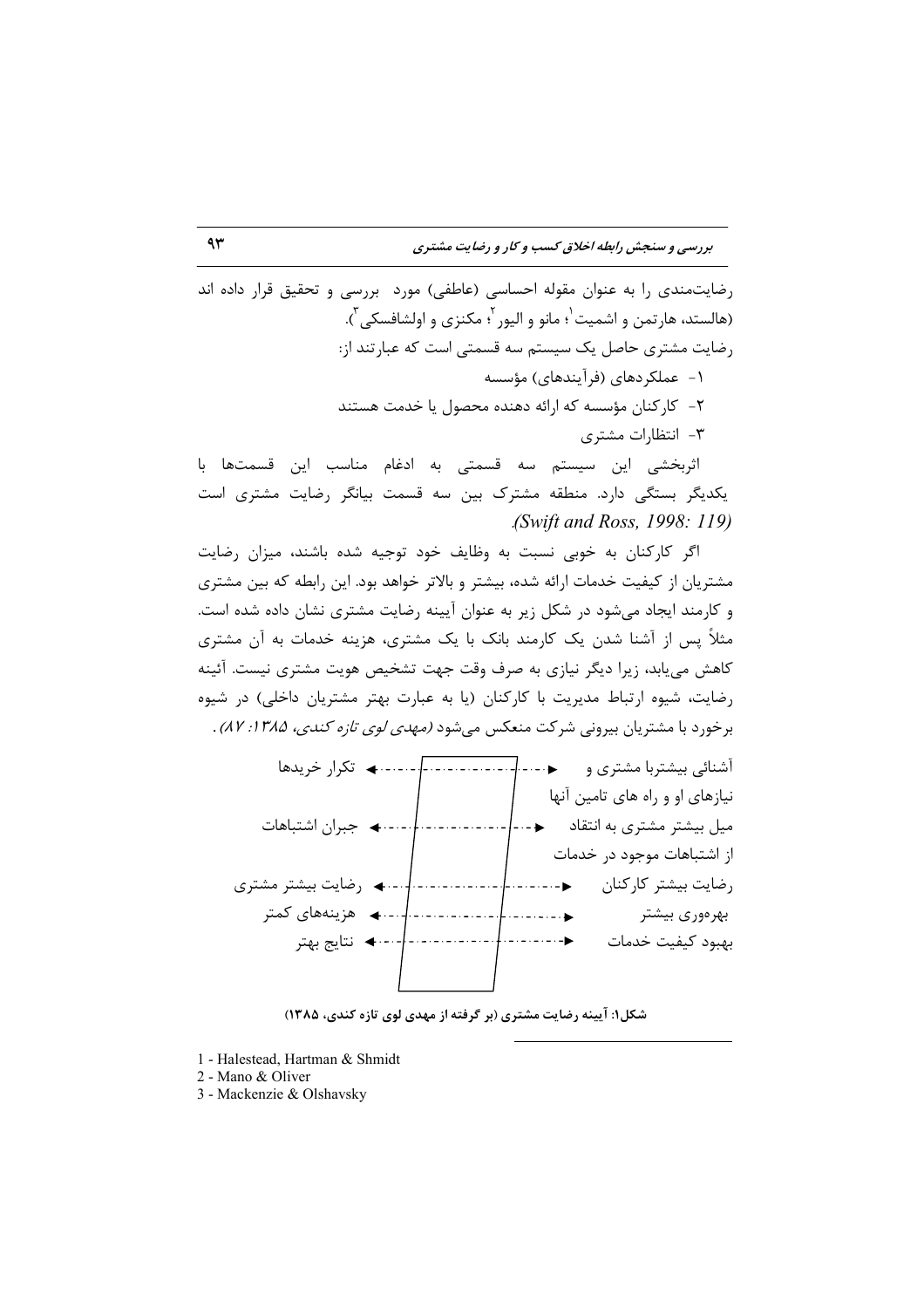رضایتمندی را به عنوان مقوله احساسی (عاطفی) مورد بررسی و تحقیق قرار داده اند (هالستد، هارتمن و اشمیت<sup>'</sup>؛ مانو و الیور <sup>۲</sup>؛ مکنزی و اولشافسکی ّ). رضایت مشتری حاصل یک سیستم سه قسمتی است که عبارتند از: ۱- عملکردهای (فرآیندهای) مؤسسه ۲- کارکنان مؤسسه که ارائه دهنده محصول یا خدمت هستند ۳- انتظارات مشترى اثربخشی این سیستم سه قسمتی به ادغام مناسب این قسمتها با

یکدیگر بستگی دارد. منطقه مشترک بین سه قسمت بیانگر رضایت مشتری است .*(Swift and Ross, 1998: 119)*

اگر کارکنان به خوبی نسبت به وظایف خود توجیه شده باشند، میزان رضایت مشتریان از کیفیت خدمات ارائه شده، بیشتر و بالاتر خواهد بود. این رابطه که بین مشتری و کارمند ایجاد میشود در شکل زیر به عنوان آیینه رضایت مشتری نشان داده شده است. مثلاً پس از آشنا شدن یک کارمند بانک با یک مشتری، هزینه خدمات به آن مشتری کاهش مییابد، زیرا دیگر نیازی به صرف وقت جهت تشخیص هویت مشتری نیست. آئینه رضایت، شیوه ارتباط مدیریت با کارکنان (یا به عبارت بهتر مشتریان داخلی) در شیوه برخورد با مشتریان بیرونی شرکت منعکس میشود *(مهدی لوی تازه کندی، ۱۳۸۵: ۸۲)* .



**شکل۱: آیینه رضایت مشتری (بر گرفته از مهدی لوی تازه کندی، ۱۳۸۵)** 

- 1 Halestead, Hartman & Shmidt
- 2 Mano & Oliver
- 3 Mackenzie & Olshavsky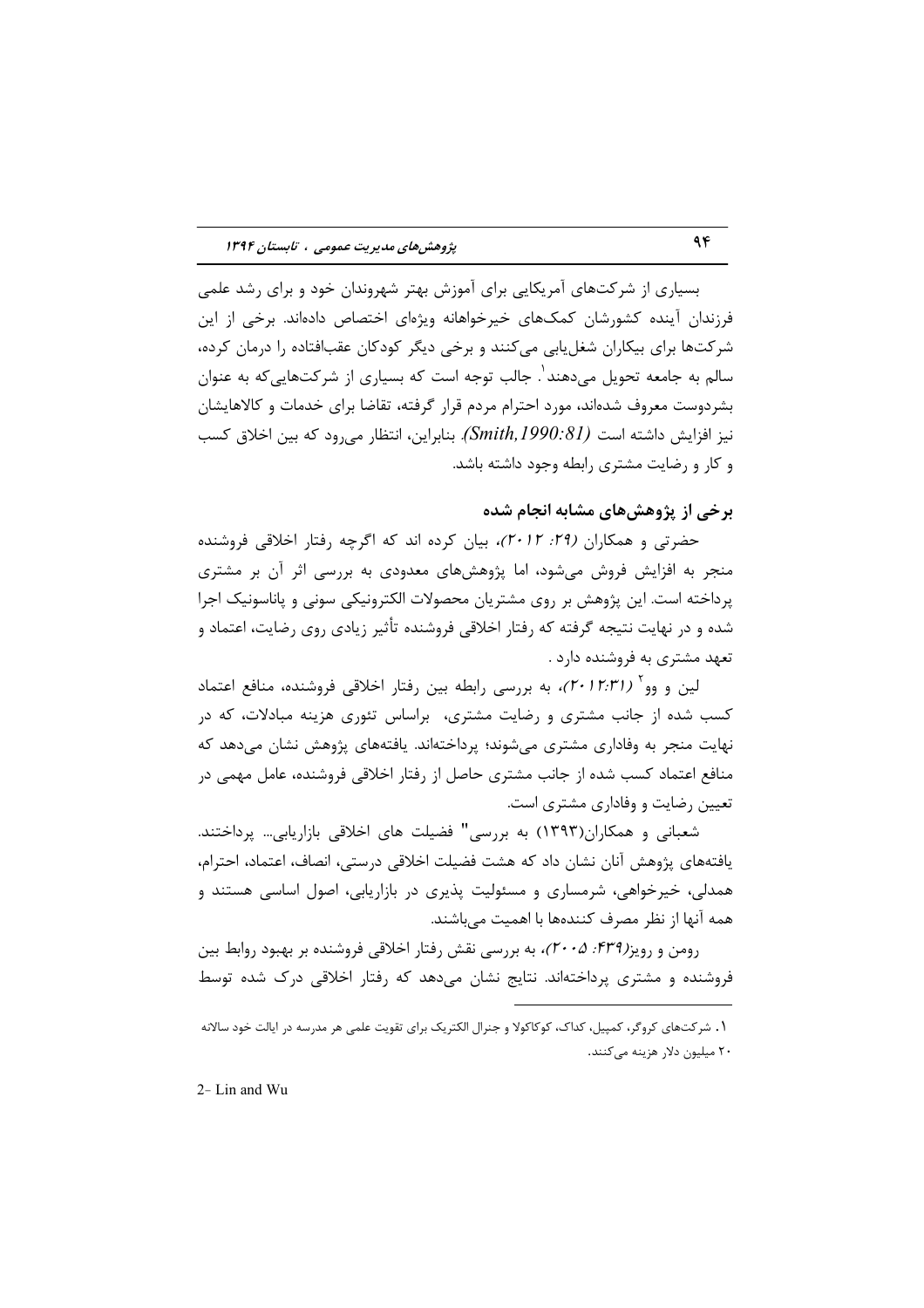بسیاری از شرکتهای آمریکایی برای آموزش بهتر شهروندان خود و برای رشد علمی فرزندان آینده کشورشان کمکـهای خیرخواهانه ویژهای اختصاص دادهاند. برخی از این شرکتها برای بیکاران شغل بابی میکنند و برخی دیگر کودکان عقبافتاده را درمان کرده، سالم به جامعه تحویل میدهند'. جالب توجه است که بسیاری از شرکتهاییکه به عنوان بشردوست معروف شدهاند، مورد احترام مردم قرار گرفته، تقاضا برای خدمات و کالاهایشان نیز افزایش داشته است (Smith, 1990:81). بنابراین، انتظار می رود که بین اخلاق کسب و کار و رضایت مشتری رابطه وجود داشته باشد.

## برخی از پژوهشهای مشابه انجام شده

حضرتی و همکاران (۲۹: ۲۰۱۲)، بیان کرده اند که اگرچه رفتار اخلاقی فروشنده منجر به افزایش فروش میشود، اما پژوهشهای معدودی به بررسی اثر آن بر مشتری پرداخته است. این پژوهش بر روی مشتریان محصولات الکترونیکی سونی و پاناسونیک اجرا شده و در نهایت نتیجه گرفته که رفتار اخلاقی فروشنده تأثیر زیادی روی رضایت، اعتماد و تعهد مشتری به فروشنده دارد .

لین و وو` (۲۰۱۲:۳۱)، به بررسی رابطه بین رفتار اخلاقی فروشنده، منافع اعتماد کسب شده از جانب مشتری و رضایت مشتری، براساس تئوری هزینه مبادلات، که در نهایت منجر به وفاداری مشتری می شوند؛ پرداختهاند. یافتههای پژوهش نشان میدهد که منافع اعتماد کسب شده از جانب مشتری حاصل از رفتار اخلاقی فروشنده، عامل مهمی در تعیین رضایت و وفاداری مشتری است.

شعبانی و همکاران(۱۳۹۳) به بررسی" فضیلت های اخلاقی بازاریابی… پرداختند. یافتههای پژوهش آنان نشان داد که هشت فضیلت اخلاقی درستی، انصاف، اعتماد، احترام، همدلی، خیرخواهی، شرمساری و مسئولیت پذیری در بازاریابی، اصول اساسی هستند و همه آنها از نظر مصرف کنندهها با اهمیت مے باشند.

رومن و رویز(۴۳۹/: ۲۰*۰۵)،* به بررسی نقش رفتار اخلاقی فروشنده بر بهبود روابط بین فروشنده و مشتری پرداختهاند. نتایج نشان میدهد که رفتار اخلاقی درک شده توسط

2- Lin and Wu

۱. شرکتهای کروگر، کمپیل، کداک، کوکاکولا و جنرال الکتریک برای تقویت علمی هر مدرسه در ایالت خود سالانه ۲۰ میلیون دلار هزینه می کنند.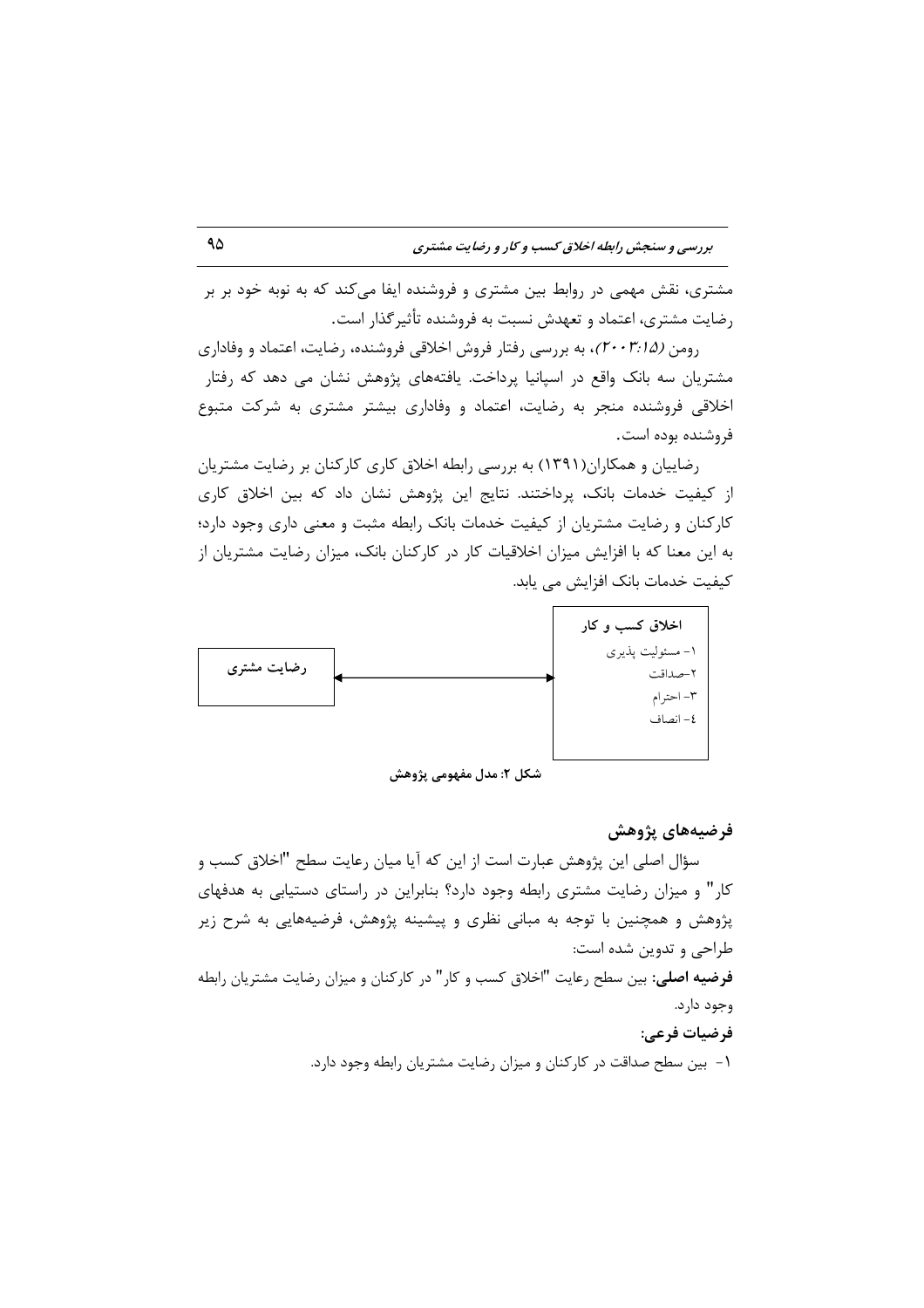مشتری، نقش مهمی در روابط بین مشتری و فروشنده ایفا میکند که به نوبه خود بر بر رضایت مشتری، اعتماد و تعهدش نسبت به فروشنده تأثیر گذار است.

رومن (٢٠٠٣:١٥)، به بررسي رفتار فروش اخلاقي فروشنده، رضايت، اعتماد و وفاداري مشتریان سه بانک واقع در اسپانیا پرداخت. یافتههای پژوهش نشان می دهد که رفتار اخلاقی فروشنده منجر به رضایت، اعتماد و وفاداری بیشتر مشتری به شرکت متبوع فروشنده بوده است.

رضاییان و همکاران(۱۳۹۱) به بررسی رابطه اخلاق کاری کارکنان بر رضایت مشتریان از کیفیت خدمات بانک، پرداختند. نتایج این پژوهش نشان داد که بین اخلاق کاری کارکنان و رضایت مشتریان از کیفیت خدمات بانک رابطه مثبت و معنی داری وجود دارد؛ به این معنا که با افزایش میزان اخلاقیات کار در کارکنان بانک، میزان رضایت مشتریان از کیفیت خدمات بانک افزایش می پابد.



شكل ٢: مدل مفهومي پژوهش

فرضيههاي پژوهش

سؤال اصلی این پژوهش عبارت است از این که آیا میان رعایت سطح "اخلاق کسب و کار" و میزان رضایت مشتری رابطه وجود دارد؟ بنابراین در راستای دستیابی به هدفهای پژوهش و همچنین با توجه به مبانی نظری و پیشینه پژوهش، فرضیههایی به شرح زیر طراحي و تدوين شده است: **فرضیه اصلی**: بین سطح رعایت "اخلاق کسب و کار" در کارکنان و میزان رضایت مشتریان رابطه وجود دارد. فرضيات فرعي: ١- بين سطح صداقت در كاركنان و ميزان رضايت مشتريان رابطه وجود دارد.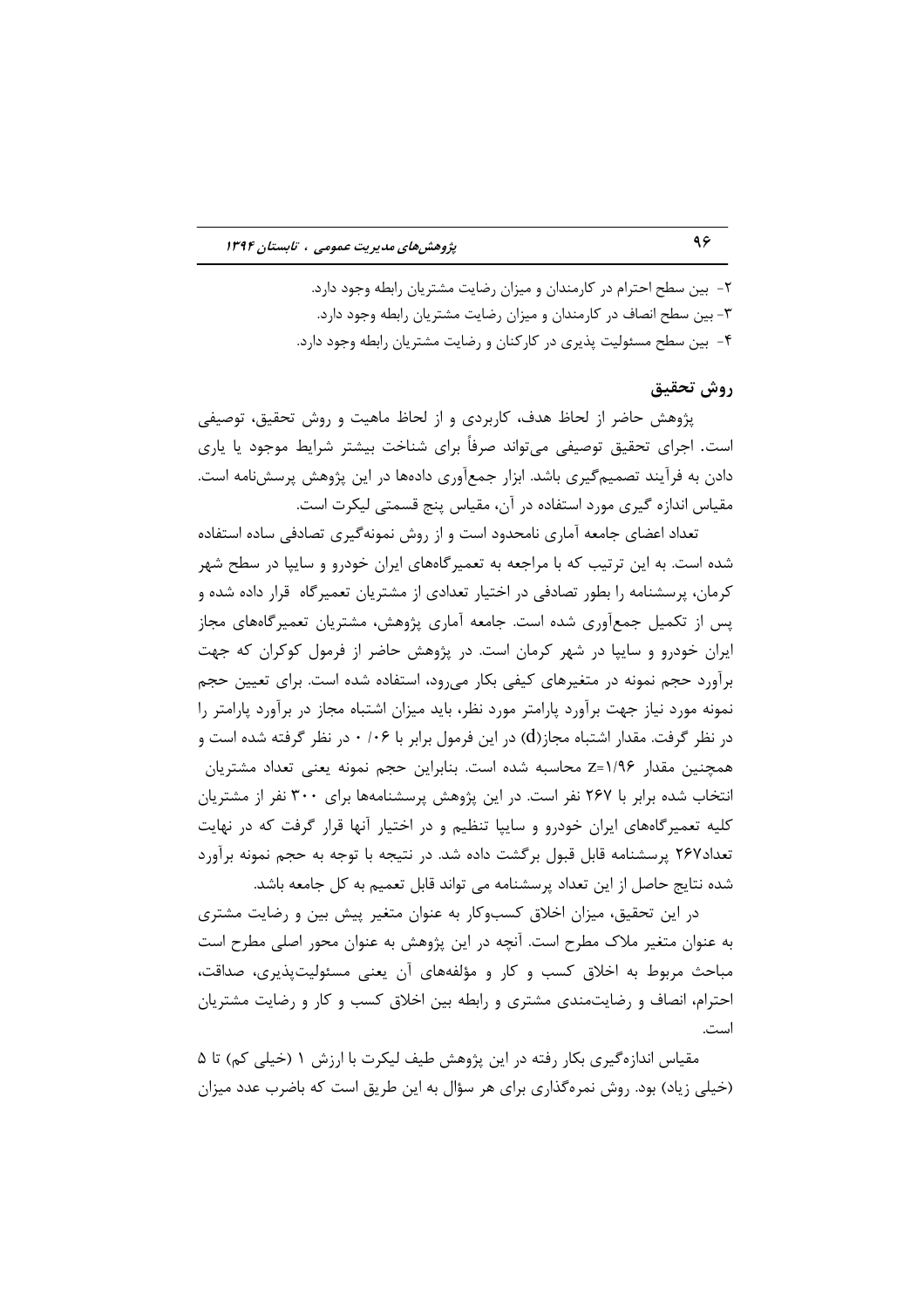۲- بین سطح احترام در کارمندان و میزان رضایت مشتریان رابطه وجود دارد. ۳- بین سطح انصاف در کارمندان و میزان رضایت مشتریان رابطه وجود دارد. ۴- بین سطح مسئولیت پذیری در کارکنان و رضایت مشتریان رابطه وجود دارد.

# روش تحقيق

پژوهش حاضر از لحاظ هدف، کاربردی و از لحاظ ماهیت و روش تحقیق، توصیفی است. اجرای تحقیق توصیفی میتواند صرفاً برای شناخت بیشتر شرایط موجود یا پاری دادن به فرآیند تصمیمگیری باشد. ابزار جمعآوری دادهها در این پژوهش پرسشنامه است. مقیاس اندازه گیری مورد استفاده در آن، مقیاس پنج قسمتی لیکرت است.

تعداد اعضای جامعه آماری نامحدود است و از روش نمونهگیری تصادفی ساده استفاده شده است. به این ترتیب که با مراجعه به تعمیرگاههای ایران خودرو و سایپا در سطح شهر کرمان، پرسشنامه را بطور تصادفی در اختیار تعدادی از مشتریان تعمیرگاه قرار داده شده و یس از تکمیل جمعآوری شده است. جامعه آماری پژوهش، مشتریان تعمیرگاههای مجاز ایران خودرو و سایپا در شهر کرمان است. در پژوهش حاضر از فرمول کوکران که جهت برآورد حجم نمونه در متغیرهای کیفی بکار می ود، استفاده شده است. برای تعیین حجم نمونه مورد نیاز جهت برآورد پارامتر مورد نظر، باید میزان اشتباه مجاز در برآورد پارامتر را در نظر گرفت. مقدار اشتباه مجاز(d) در این فرمول برابر با ۰ /۰۶ در نظر گرفته شده است و همچنین مقدار 1/۹۶=Z محاسبه شده است. بنابراین حجم نمونه یعنی تعداد مشتریان انتخاب شده برابر با ۲۶۷ نفر است. در این پژوهش پرسشنامهها برای ۳۰۰ نفر از مشتریان کلیه تعمیرگاههای ایران خودرو و سایپا تنظیم و در اختیار آنها قرار گرفت که در نهایت تعداد۲۶۷ پرسشنامه قابل قبول برگشت داده شد. در نتیجه با توجه به حجم نمونه برآورد شده نتایج حاصل از این تعداد پرسشنامه می تواند قابل تعمیم به کل جامعه باشد.

در این تحقیق، میزان اخلاق کسبوکار به عنوان متغیر پیش بین و رضایت مشتری به عنوان متغیر ملاک مطرح است. آنچه در این پژوهش به عنوان محور اصلی مطرح است مباحث مربوط به اخلاق کسب و کار و مؤلفههای آن یعنی مسئولیتپذیری، صداقت، احترام، انصاف و رضایتمندی مشتری و رابطه بین اخلاق کسب و کار و رضایت مشتریان است.

مقیاس اندازهگیری بکار رفته در این پژوهش طیف لیکرت با ارزش ۱ (خیلی کم) تا ۵ (خیلی زیاد) بود. روش نمرهگذاری برای هر سؤال به این طریق است که باضرب عدد میزان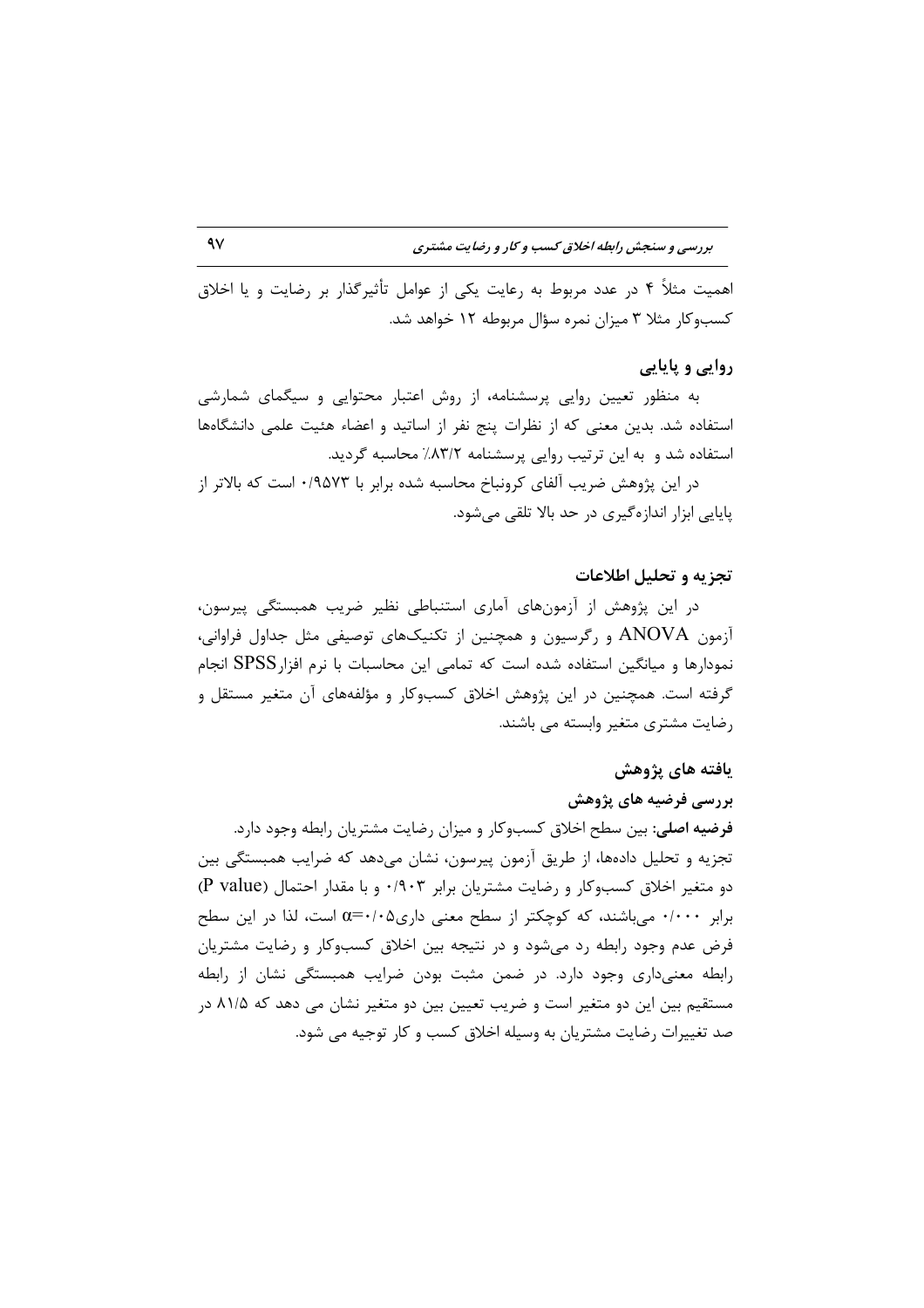اهمیت مثلاً ۴ در عدد مربوط به رعایت یکی از عوامل تأثیرگذار بر رضایت و یا اخلاق کسبوکار مثلا ۳ میزان نمره سؤال مربوطه ۱۲ خواهد شد.

## روایی و پایایی

به منظور تعیین روایی پرسشنامه، از روش اعتبار محتوایی و سیگمای شمارشی استفاده شد. بدین معنی که از نظرات پنج نفر از اساتید و اعضاء هئیت علمی دانشگاهها استفاده شد و به این ترتیب روایی پرسشنامه ۸۳/۲٪ محاسبه گردید.

در این پژوهش ضریب آلفای کرونباخ محاسبه شده برابر با ۰/۹۵۷۳ است که بالاتر از یاپایی ابزار اندازہگیری در حد بالا تلقی میشود.

#### تجزیه و تحلیل اطلاعات

در این پژوهش از آزمونهای آماری استنباطی نظیر ضریب همبستگی پیرسون، آزمون ANOVA و رگرسیون و همچنین از تکنیکهای توصیفی مثل جداول فراوانی، نمودارها و میانگین استفاده شده است که تمامی این محاسبات با نرم افزار ${\rm SPSS}$  انجام گرفته است. همچنین در این پژوهش اخلاق کسبوکار و مؤلفههای آن متغیر مستقل و رضایت مشتری متغیر وابسته می باشند.

# ىافته هاى يژوهش

#### بررسی فرضیه های پژوهش

فرضيه اصلي: بين سطح اخلاق كسبوكار و ميزان رضايت مشتريان رابطه وجود دارد. تجزیه و تحلیل دادهها، از طریق آزمون پیرسون، نشان میدهد که ضرایب همبستگی بین دو متغیر اخلاق کسبوکار و رضایت مشتریان برابر ۰/۹۰۳ و با مقدار احتمال (P value) برابر ۰/۰۰۰ میباشند، که کوچکتر از سطح معنی داری۵-۰/۰ است، لذا در این سطح فرض عدم وجود رابطه رد میشود و در نتیجه بین اخلاق کسبوکار و رضایت مشتریان رابطه معنی داری وجود دارد. در ضمن مثبت بودن ضرایب همبستگی نشان از رابطه مستقیم بین این دو متغیر است و ضریب تعیین بین دو متغیر نشان می دهد که ۸۱/۵ در صد تغییرات رضایت مشتریان به وسیله اخلاق کسب و کار توجیه می شود.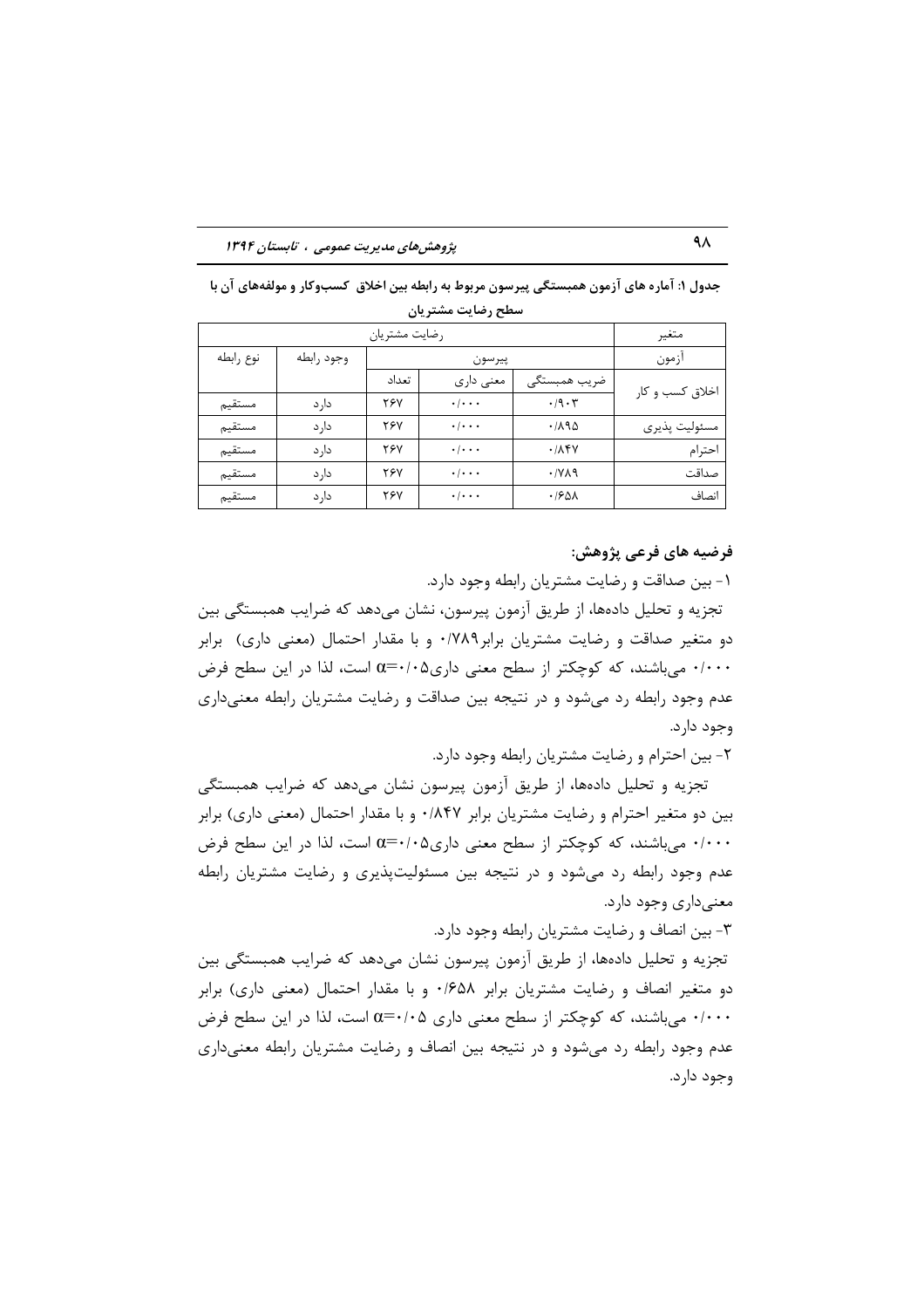**شهای مدیریت عمومی ، تابستان ۱۳۹۴** ۹۸ *پژوه* 

| $\mathbf{u}$ |            |            |                           |                             |                 |  |  |  |  |  |
|--------------|------------|------------|---------------------------|-----------------------------|-----------------|--|--|--|--|--|
|              | متغير      |            |                           |                             |                 |  |  |  |  |  |
| نوع رابطه    | وجود رابطه |            | پيرسون                    | ازمون                       |                 |  |  |  |  |  |
|              |            | تعداد      | معنی داری                 | ضريب همبستگى                | اخلاق کسب و کار |  |  |  |  |  |
| مستقيم       | دار د      | ۲۶۷        | $\cdot$ / $\cdot$ $\cdot$ | $\cdot$ /9 $\cdot$ $\tau$   |                 |  |  |  |  |  |
| مستقيم       | دار د      | <b>٢۶٧</b> | $\cdot$ / $\cdot$ $\cdot$ | $\cdot$ /194                | مسئوليت پذيرى   |  |  |  |  |  |
| مستقيم       | دارد       | ۲۶۷        | $\cdot$ / $\cdot$ $\cdot$ | .115Y                       | احترام          |  |  |  |  |  |
| مستقيم       | دارد       | <b>٢۶٧</b> | $\cdot$ / $\cdot$ $\cdot$ | $\cdot$ / $\vee$ $\wedge$ 9 | صداقت           |  |  |  |  |  |
| مستقيم       | دار د      | ۲۶۷        | $\cdot$ / $\cdot$ $\cdot$ | .9801                       | انصاف           |  |  |  |  |  |

جدول ۱: آماره های آزمون همبستگی پیرسون مربوط به رابطه بین اخلاق کسبوکار و مولفههای آن با **سطح رضایت مشتریان** 

فرضیه های فرعی پژوهش:

۱- بین صداقت و رضایت مشتریان رابطه وجود دارد.

تجزیه و تحلیل دادهها، از طریق آزمون پیرسون، نشان میدهد که ضرایب همبستگی بین دو متغیر صداقت و رضایت مشتریان برابر۰/۷۸۹ و با مقدار احتمال (معنی داری) برابر ۰/۰۰۰ میباشند، که کوچکتر از سطح معنی داری۱۰۵=c است، لذا در این سطح فرض عدم وجود رابطه رد میشود و در نتیجه بین صداقت و رضایت مشتریان رابطه معنیداری وجود دارد.

۲- بین احترام و رضایت مشتریان رابطه وجود دارد.

تجزیه و تحلیل دادهها، از طریق آزمون پیرسون نشان میدهد که ضرایب همبستگی بین دو متغیر احترام و رضایت مشتریان برابر ۰٬۸۴۷ و با مقدار احتمال (معنی داری) برابر ۰/۰۰۰ میباشند، که کوچکتر از سطح معنی داری۱۰۵=c است، لذا در این سطح فرض عدم وجود رابطه رد میشود و در نتیجه بین مسئولیتپذیری و رضایت مشتریان رابطه معنىدارى وجود دارد.

۳- بین انصاف و رضایت مشتریان رابطه وجود دارد.

تجزیه و تحلیل دادهها، از طریق آزمون پیرسون نشان میدهد که ضرایب همبستگی بین دو متغیر انصاف و رضایت مشتریان برابر ۰/۶۵۸ و با مقدار احتمال (معنی داری) برابر ۰/۰۰۰ میباشند، که کوچکتر از سطح معنی داری ۵÷/۰۱ است، لذا در این سطح فرض عدم وجود رابطه رد میشود و در نتیجه بین انصاف و رضایت مشتریان رابطه معنیداری وجود دارد.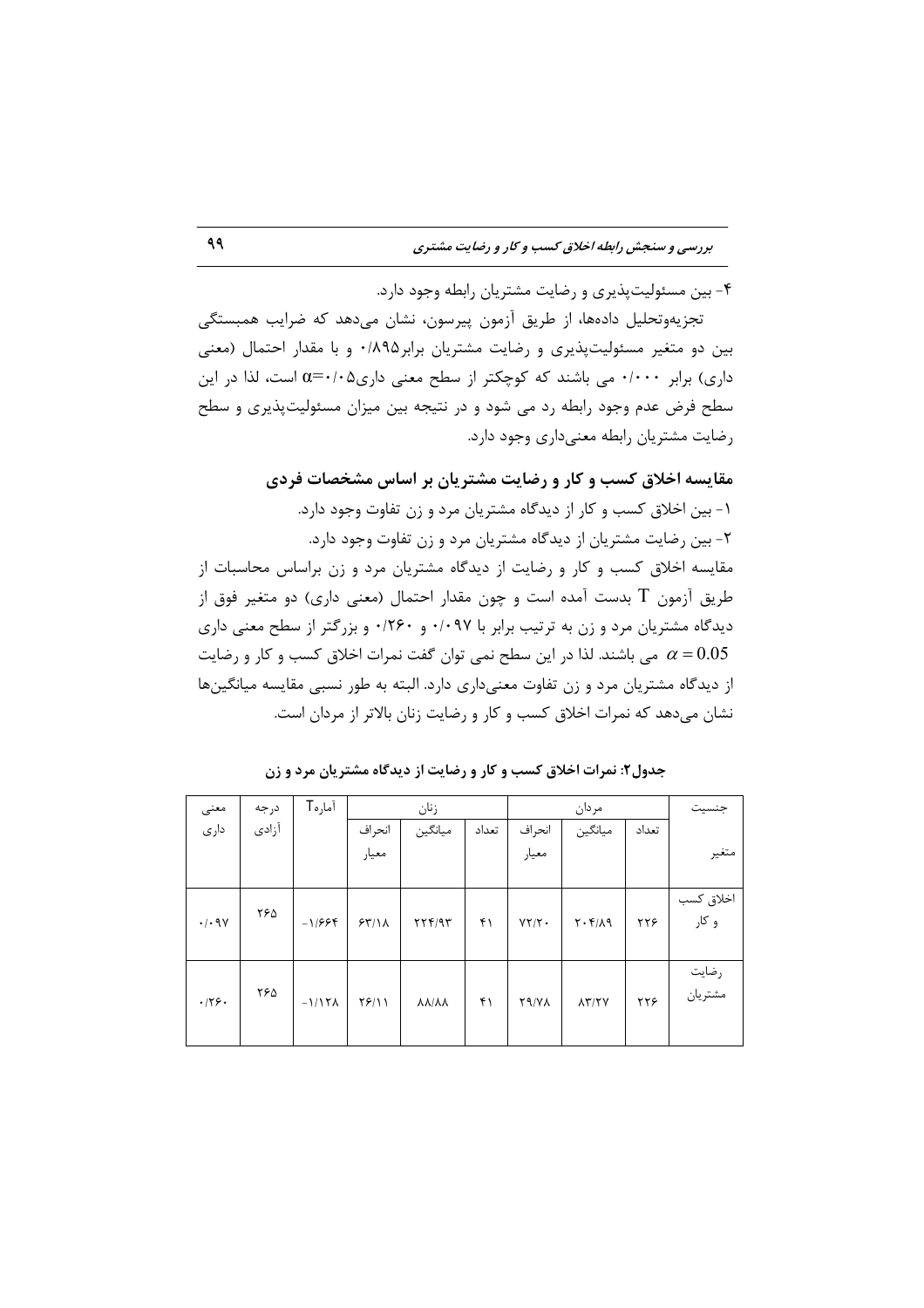۴- بين مسئوليت پذيري و رضايت مشتريان رابطه وجود دارد.

تجزیهوتحلیل دادهها، از طریق آزمون پیرسون، نشان میدهد که ضرایب همبستگی بین دو متغیر مسئولیتپذیری و رضایت مشتریان برابر ۰/۸۹۵ و با مقدار احتمال (معنی داری) برابر ۰/۰۰۰ می باشند که کوچکتر از سطح معنی داری۰/۰۵=۵ است، لذا در این سطح فرض عدم وجود رابطه رد می شود و در نتیجه بین میزان مسئولیتپذیری و سطح رضایت مشتریان رابطه معنیداری وجود دارد.

مقایسه اخلاق کسب و کار و رضایت مشتریان بر اساس مشخصات فردی ۱- بین اخلاق کسب و کار از دیدگاه مشتریان مرد و زن تفاوت وجود دارد. ۲- بین رضایت مشتریان از دیدگاه مشتریان مرد و زن تفاوت وجود دارد. مقایسه اخلاق کسب و کار و رضایت از دیدگاه مشتریان مرد و زن براساس محاسبات از طریق آزمون T بدست آمده است و چون مقدار احتمال (معنی داری) دو متغیر فوق از دیدگاه مشتریان مرد و زن به ترتیب برابر با ۰/۰۹۷ و ۰/۲۶۰ و بزرگتر از سطح معنی داری می باشند. لذا در این سطح نمی توان گفت نمرات اخلاق کسب و کار و رضایت  $\alpha = 0.05$ از دیدگاه مشتریان مرد و زن تفاوت معنیداری دارد. البته به طور نسبی مقایسه میانگینها نشان میدهد که نمرات اخلاق کسب و کار و رضایت زنان بالاتر از مردان است.

| معنى  | درجه  | آمارهT         |                  | زنان                                |       |          | جنسيت                         |       |                    |
|-------|-------|----------------|------------------|-------------------------------------|-------|----------|-------------------------------|-------|--------------------|
| دارى  | آزادى |                | انحراف           | ميانگين                             | تعداد | انحراف   | ميانگين                       | تعداد |                    |
|       |       |                | معيار            |                                     |       | معيار    |                               |       | متغير              |
|       |       |                |                  |                                     |       |          |                               |       |                    |
|       | ۲۶۵   |                |                  |                                     |       |          |                               |       | اخلاق کسب<br>و کار |
| .49   |       | $-1/999$       | 55/1A            | YYY/9Y                              | ۴۱    | $YY/Y$ . | $Y \cdot Y/\lambda$ 9         | ۲۲۶   |                    |
|       |       |                |                  |                                     |       |          |                               |       |                    |
|       |       |                |                  |                                     |       |          |                               |       | رضایت<br>مشتریان   |
| .179. | ۲۶۵   | $-1/17\Lambda$ | $Y$ $9$ $\wedge$ | $\lambda \lambda / \lambda \lambda$ | ۴۱    | Y9/YA    | $\Lambda \Upsilon/\Upsilon V$ | ٢٢۶   |                    |
|       |       |                |                  |                                     |       |          |                               |       |                    |
|       |       |                |                  |                                     |       |          |                               |       |                    |

جدول۲: نمرات اخلاق کسب و کار و رضایت از دیدگاه مشتریان مرد و زن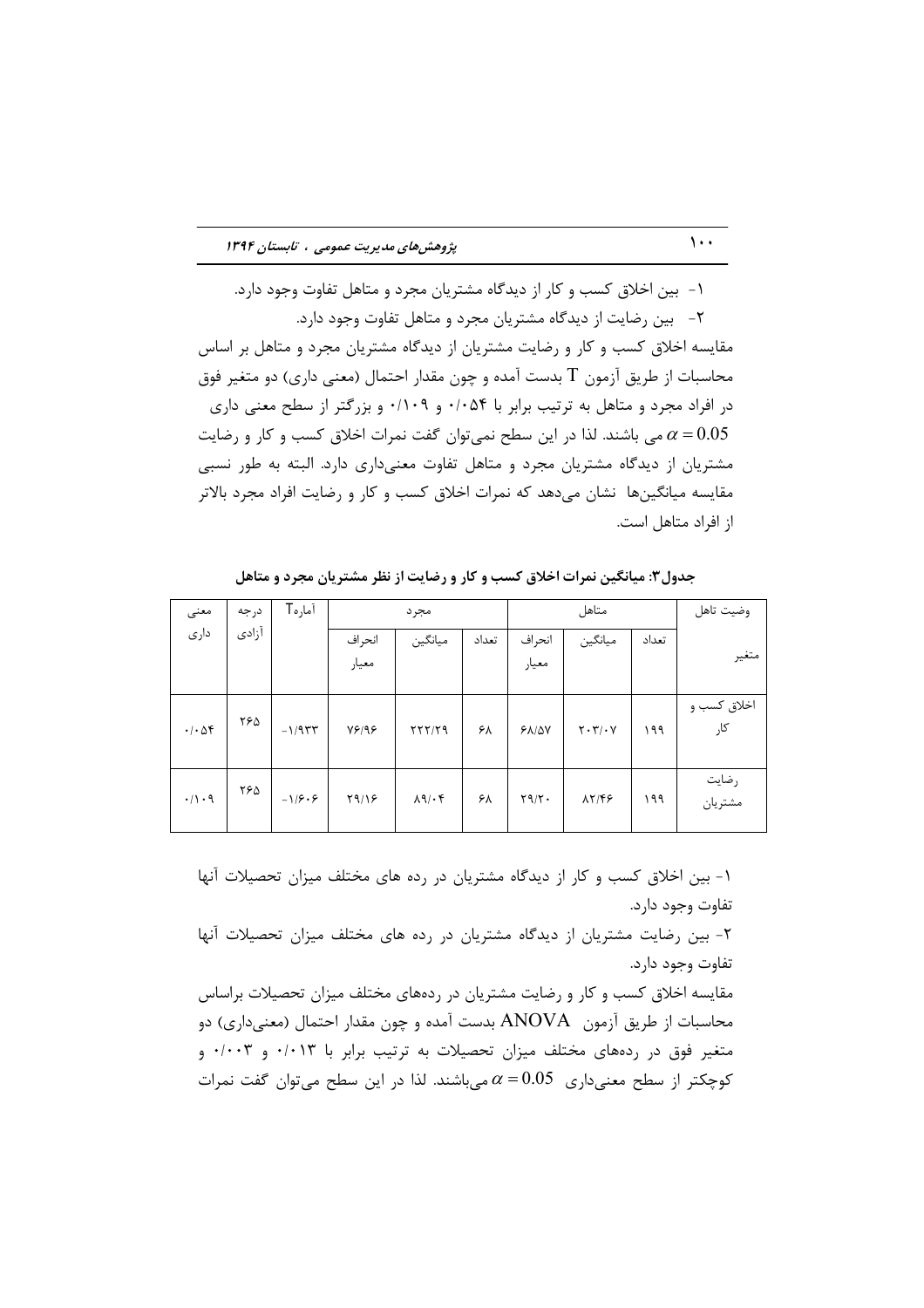۰۱ بین اخلاق کسب و کار از دیدگاه مشتریان مجرد و متاهل تفاوت وجود دارد. ۲- بین رضایت از دیدگاه مشتریان مجرد و متاهل تفاوت وجود دارد. مقایسه اخلاق کسب و کار و رضایت مشتریان از دیدگاه مشتریان مجرد و متاهل بر اساس محاسبات از طریق آزمون  $\rm T$  بدست آمده و چون مقدار احتمال (معنی داری) دو متغیر فوق  $\epsilon$ در افراد مجرد و متاهل به ترتیب برابر با ۰/۰۵۴ و ۰/۱۰۹ و بزرگتر از سطح معنی داری می باشند. لذا در این سطح نمیتوان گفت نمرات اخلاق کسب و کار و رضایت  $\alpha$  =  $0.05$ مشتریان از دیدگاه مشتریان مجرد و متاهل تفاوت معنیداری دارد. البته به طور نسبی مقایسه میانگینها نشان میدهد که نمرات اخلاق کسب و کار و رضایت افراد مجرد بالاتر از افراد متاهل است.

| معنى                         | درجه  | آمارهT  |                 | مجرد                   |       |                 | متاهل                                                                 | وضيت تاهل |                    |
|------------------------------|-------|---------|-----------------|------------------------|-------|-----------------|-----------------------------------------------------------------------|-----------|--------------------|
| دارى                         | أزادى |         | انحراف<br>معيار | ميانگين                | تعداد | انحراف<br>معيار | ميانگين                                                               | تعداد     | متغير              |
| $\cdot$ / $\cdot$ $\Delta f$ | ۲۶۵   | $-1/95$ | Y5/95           | YYY/YQ                 | ۶۸    | 91/0V           | $\mathbf{Y}\boldsymbol{\cdot}\mathbf{Y}/\boldsymbol{\cdot}\mathbf{V}$ | ۱۹۹       | اخلاق کسب و<br>کار |
| $\cdot/\cdot$ 9              | ۲۶۵   | $-18.8$ | Y9/19           | $\lambda$ 9/ $\cdot$ ۴ | ۶۸    | $Y9/Y$ .        | $\lambda Y/F9$                                                        | ۱۹۹       | رضایت<br>مشتریان   |

جدول۳: میانگین نمرات اخلاق کسب و کار و رضایت از نظر مشتریان مجرد و متاهل

۱- بین اخلاق کسب و کار از دیدگاه مشتریان در رده های مختلف میزان تحصیلات آنها تفاوت وجود دارد. ۲- بین رضایت مشتریان از دیدگاه مشتریان در رده های مختلف میزان تحصیلات آنها تفاوت وجود دارد. مقایسه اخلاق کسب و کار و رضایت مشتریان در ردههای مختلف میزان تحصیلات براساس محاسبات از طریق آزمون  $\operatorname{ANOVA}$  بدست آمده و چون مقدار احتمال (معنیداری) دو متغیر فوق در ردههای مختلف میزان تحصیلات به ترتیب برابر با ۰/۰۱۳ و ۰/۰۰۳ و کوچکتر از سطح معنیداری  $0.05$   $\alpha$  میباشند. لذا در این سطح میتوان گفت نمرات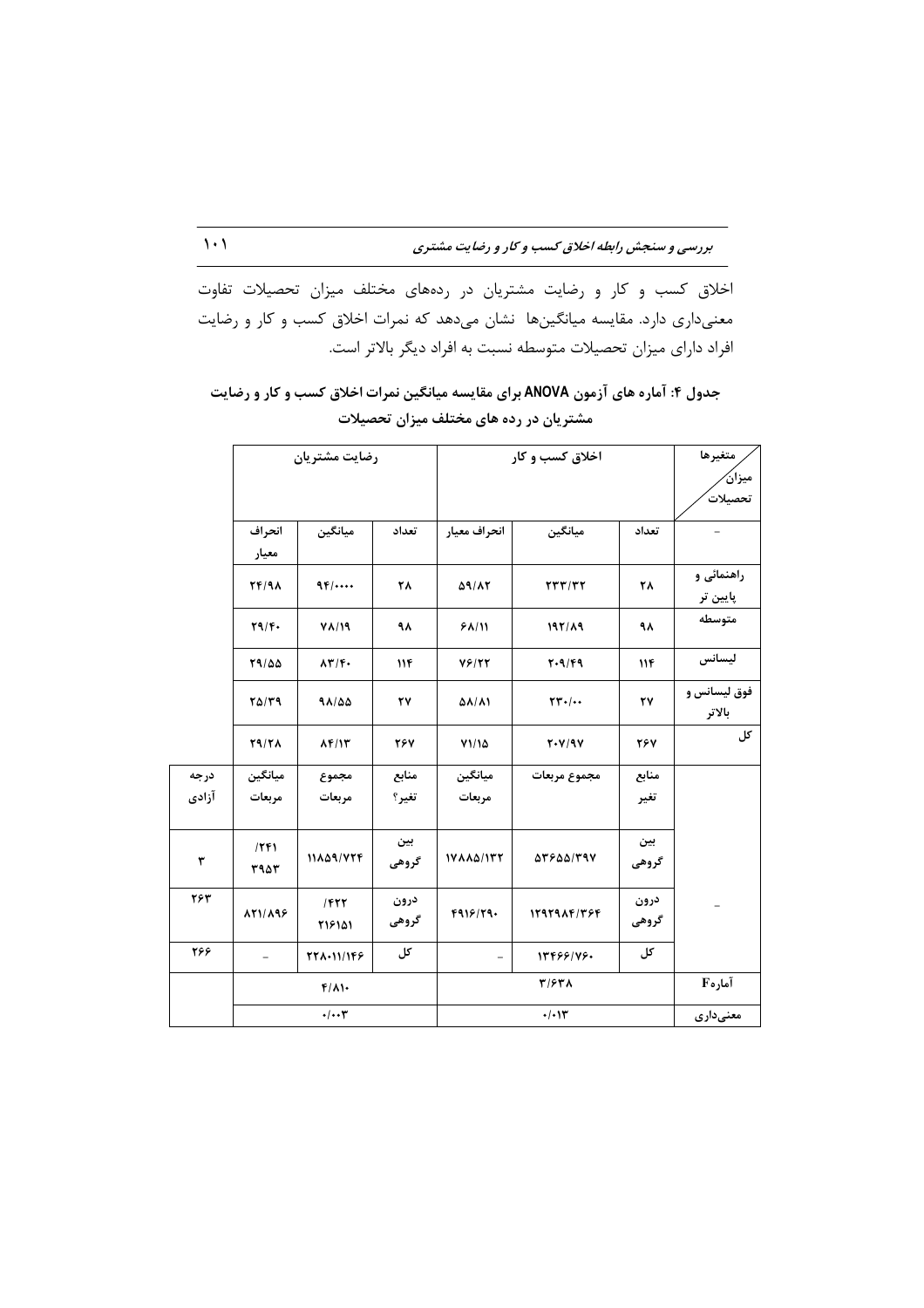بررسی و سنجش رابطه اخلاق کسب و کار و رضایت مشتری

اخلاق کسب و کار و رضایت مشتریان در ردههای مختلف میزان تحصیلات تفاوت معنیداری دارد. مقایسه میانگینها  $\,$ نشان میدهد که نمرات اخلاق کسب و کار و رضایت افراد دارای میزان تحصیلات متوسطه نسبت به افراد دیگر بالاتر است.

|       |                          | رضايت مشتريان                                                        |               | اخلاق کسب و کار          | متغيرها<br>ميزان⁄                               |               |                        |
|-------|--------------------------|----------------------------------------------------------------------|---------------|--------------------------|-------------------------------------------------|---------------|------------------------|
|       |                          |                                                                      |               |                          | تحصيلات                                         |               |                        |
|       | انحراف<br>معيار          | ميانگين                                                              | تعداد         | انحراف معيار             | ميانگين                                         | تعداد         |                        |
|       | YF/9A                    | $9F$                                                                 | ٢٨            | 59/17                    | $\tau\tau\tau/\tau\tau$                         | ۲۸            | راهنمائی و<br>پایین تر |
|       | $\mathbf{Y9}/\mathbf{F}$ | $V$ $\Lambda$ /19                                                    | ۹۸            | 5111                     | 197/A9                                          | ۹۸            | متوسطه                 |
|       | 19/00                    | AT/F                                                                 | 11F           | YF/YY                    | $T - 9/F9$                                      | 11F           | ليسانس                 |
|       | $T\Delta/T9$             | 91/00                                                                | ۲٧            | <b>AA/A)</b>             | $\mathbf{Y} \mathbf{Y} \cdot \mathbf{I} \cdots$ | ٢٧            | فوق ليسانس و<br>بالاتر |
|       | Y9/YA                    | $\lambda F/\lambda T$                                                | <b>28V</b>    | Y1/10                    | $Y. Y$ /۹۷                                      | 284           | کل                     |
| درجه  | ميانگين                  | مجموع                                                                | منابع         | ميانگين                  | مجموع مربعات                                    | منابع         |                        |
| آزادى | مربعات                   | مربعات                                                               | تغير؟         | مربعات                   |                                                 | تغير          |                        |
| ٣     | 1551<br><b>TAAT</b>      | 11841774                                                             | بين<br>گروهی  | 171141177                | $\Delta$ rraa/rav                               | بين<br>گروهی  |                        |
| ٢۶٣   | 881/198                  | 1577<br><b>TISIAI</b>                                                | درون<br>گروهی | F919/T9.                 | 1297914/789                                     | درون<br>گروهی |                        |
| ۲۶۶   | $\qquad \qquad -$        | 778.11/149                                                           | کل            | $\overline{\phantom{0}}$ | 15488148.                                       | کل            |                        |
|       |                          | $F/\Lambda$                                                          |               |                          | آمارهF                                          |               |                        |
|       |                          | $\boldsymbol{\cdot}/\boldsymbol{\cdot}\boldsymbol{\cdot} \mathbf{y}$ |               |                          | معنىدارى                                        |               |                        |

جدول ۴: آماره های آزمون ANOVA برای مقایسه میانگین نمرات اخلاق کسب و کار و رضایت هشتریان در رده های مختلف میزان تحصیلات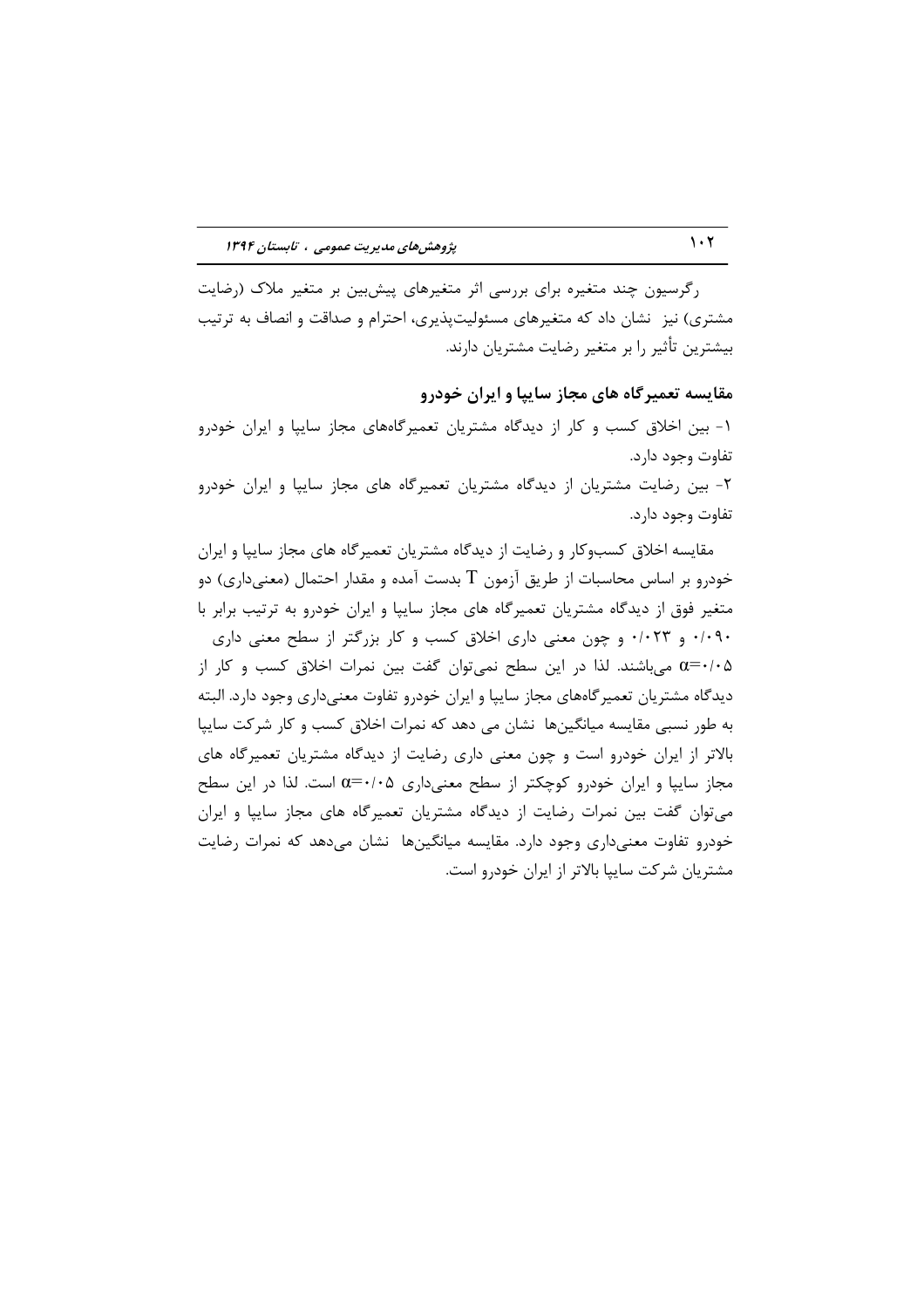رگرسیون چند متغیره برای بررسی اثر متغیرهای پیش بین بر متغیر ملاک (رضایت مشتری) نیز ِ نشان داد که متغیرهای مسئولیتپذیری، احترام و صداقت و انصاف به ترتیب بیشترین تأثیر را بر متغیر رضایت مشتریان دارند.

# مقایسه تعمیرگاه های مجاز سایپا و ایران خودرو

١- بين اخلاق كسب و كار از ديدگاه مشتريان تعمير گاههاى مجاز سايپا و ايران خودرو تفاوت وجود دارد. ۲- بین رضایت مشتریان از دیدگاه مشتریان تعمیرگاه های مجاز ساییا و ایران خودرو تفاوت وجود دارد.

مقایسه اخلاق کسبوکار و رضایت از دیدگاه مشتریان تعمیرگاه های مجاز سایپا و ایران خودرو بر اساس محاسبات از طریق آزمون T بدست آمده و مقدار احتمال (معنیداری) دو متغیر فوق از دیدگاه مشتریان تعمیرگاه های مجاز سایپا و ایران خودرو به ترتیب برابر با ۰/۰۹۰ و ۰/۰۲۳ و چون معنی داری اخلاق کسب و کار بزرگتر از سطح معنی داری α=٠/٠۵ می باشند. لذا در این سطح نمی توان گفت بین نمرات اخلاق کسب و کار از دیدگاه مشتریان تعمیر گاههای مجاز سایپا و ایران خودرو تفاوت معنیداری وجود دارد. البته به طور نسبی مقایسه میانگینها نشان می دهد که نمرات اخلاق کسب و کار شرکت ساییا بالاتر از ایران خودرو است و چون معنی داری رضایت از دیدگاه مشتریان تعمیرگاه های مجاز ساییا و ایران خودرو کوچکتر از سطح معنیداری ۵+/۰=c است. لذا در این سطح می توان گفت بین نمرات رضایت از دیدگاه مشتریان تعمیرگاه های مجاز سایپا و ایران خودرو تفاوت معنے داری وجود دارد. مقایسه میانگینها \_نشان مے دهد که نمرات رضایت مشتریان شرکت سایپا بالاتر از ایران خودرو است.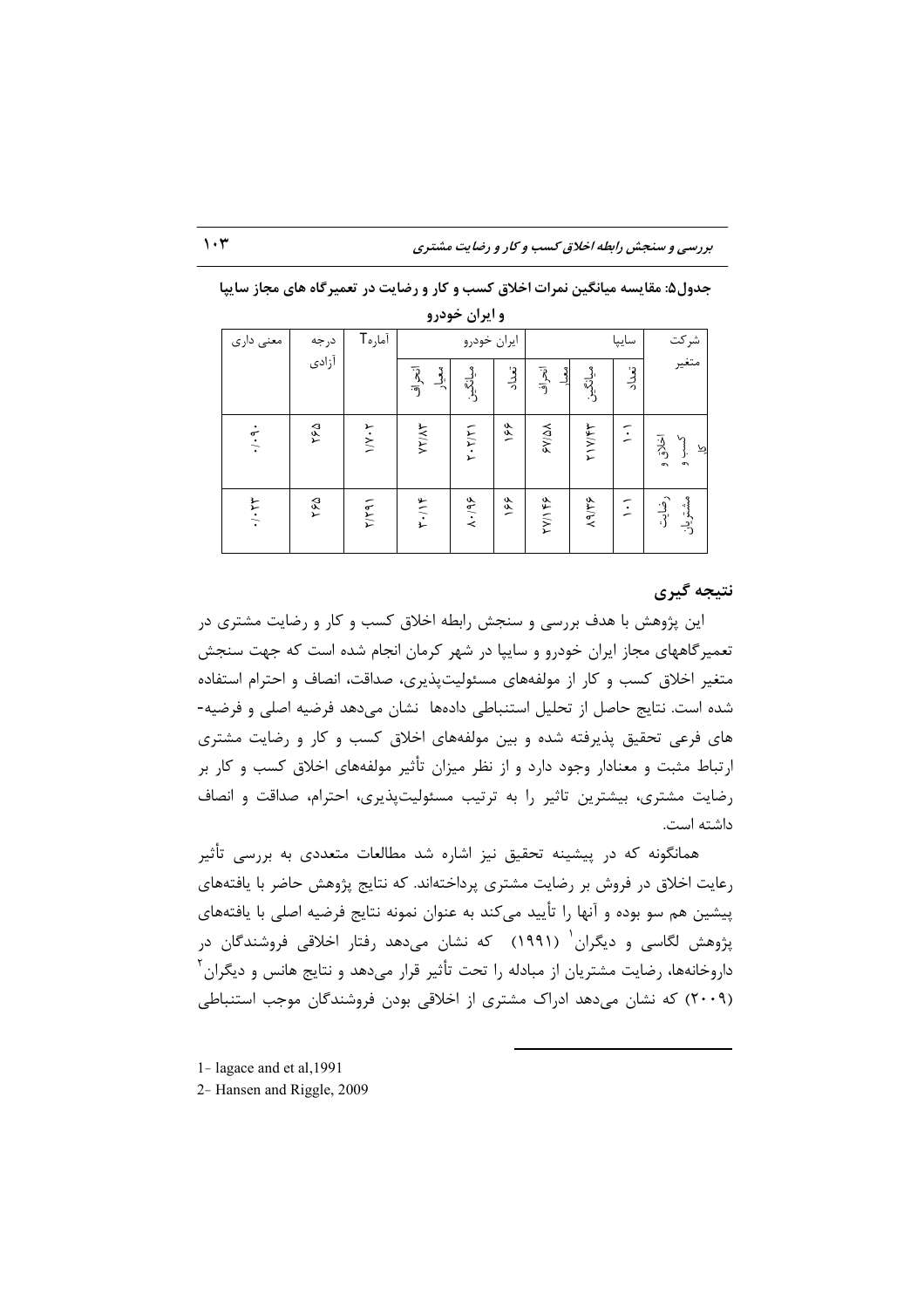| معنی داری           | درجه  | آمارهT       |                               | ايران خودرو             |           |               | سايپا          | شركت      |                       |
|---------------------|-------|--------------|-------------------------------|-------------------------|-----------|---------------|----------------|-----------|-----------------------|
|                     | أزادى |              | معيار<br>آقسراق               | ولي<br>زلاني            | تول<br>أح | آقس<br>يحيا   | مىيانگىن<br>   | تھا۔<br>آ | متغير                 |
| $\ddot{\cdot}$      | ۲۶۵   | $1/\sqrt{1}$ | YY/XY                         | $Y \cdot Y/Y \setminus$ | ١۶۶       | $5V/\Delta$   | <b>TIVIFT</b>  |           | اخلاق و<br>يا<br>۰    |
| $\cdot$ / $\cdot$ r | ۲۶۵   | Y/Y91        | $\mathbf{r} \cdot \mathbf{r}$ | $x + 199$               | ١۶۶       | <b>TVIIFF</b> | $\lambda$ 9/٣۶ |           | آو.<br>آرا<br>مشتريان |

جدول۵: مقایسه میانگین نمرات اخلاق کسب و کار و رضایت در تعمیرگاه های مجاز سایپا و ايران خودرو

نتيجه گيري

این پژوهش با هدف بررسی و سنجش رابطه اخلاق کسب و کار و رضایت مشتری در تعمیر گاههای مجاز ایران خودرو و ساییا در شهر کرمان انجام شده است که جهت سنجش متغیر اخلاق کسب و کار از مولفههای مسئولیت پذیری، صداقت، انصاف و احترام استفاده شده است. نتايج حاصل از تحليل استنباطي دادهها -نشان مي دهد فرضيه اصلي و فرضيه-های فرعی تحقیق پذیرفته شده و بین مولفههای اخلاق کسب و کار و رضایت مشتری ارتباط مثبت و معنادار وجود دارد و از نظر میزان تأثیر مولفههای اخلاق کسب و کار بر رضایت مشتری، بیشترین تاثیر ۱٫ به ترتیب مسئولیتپذیری، احترام، صداقت و انصاف داشته است.

همانگونه که در پیشینه تحقیق نیز اشاره شد مطالعات متعددی به بررسی تأثیر رعایت اخلاق در فروش بر رضایت مشتری پرداختهاند. که نتایج پژوهش حاضر با یافتههای پیشین هم سو بوده و آنها را تأیید می کند به عنوان نمونه نتایج فرضیه اصلی با یافتههای یژوهش لگاسی و دیگران<sup>'</sup> (۱۹۹۱) که نشان می۵هد رفتار اخلاقی فروشندگان در داروخانهها، رضایت مشتریان از مبادله را تحت تأثیر قرار می۵هد و نتایج هانس و دیگران<sup>۲</sup> (۲۰۰۹) که نشان می۵هد ادراک مشتری از اخلاقی بودن فروشندگان موجب استنباطی

- 1- lagace and et al, 1991
- 2- Hansen and Riggle, 2009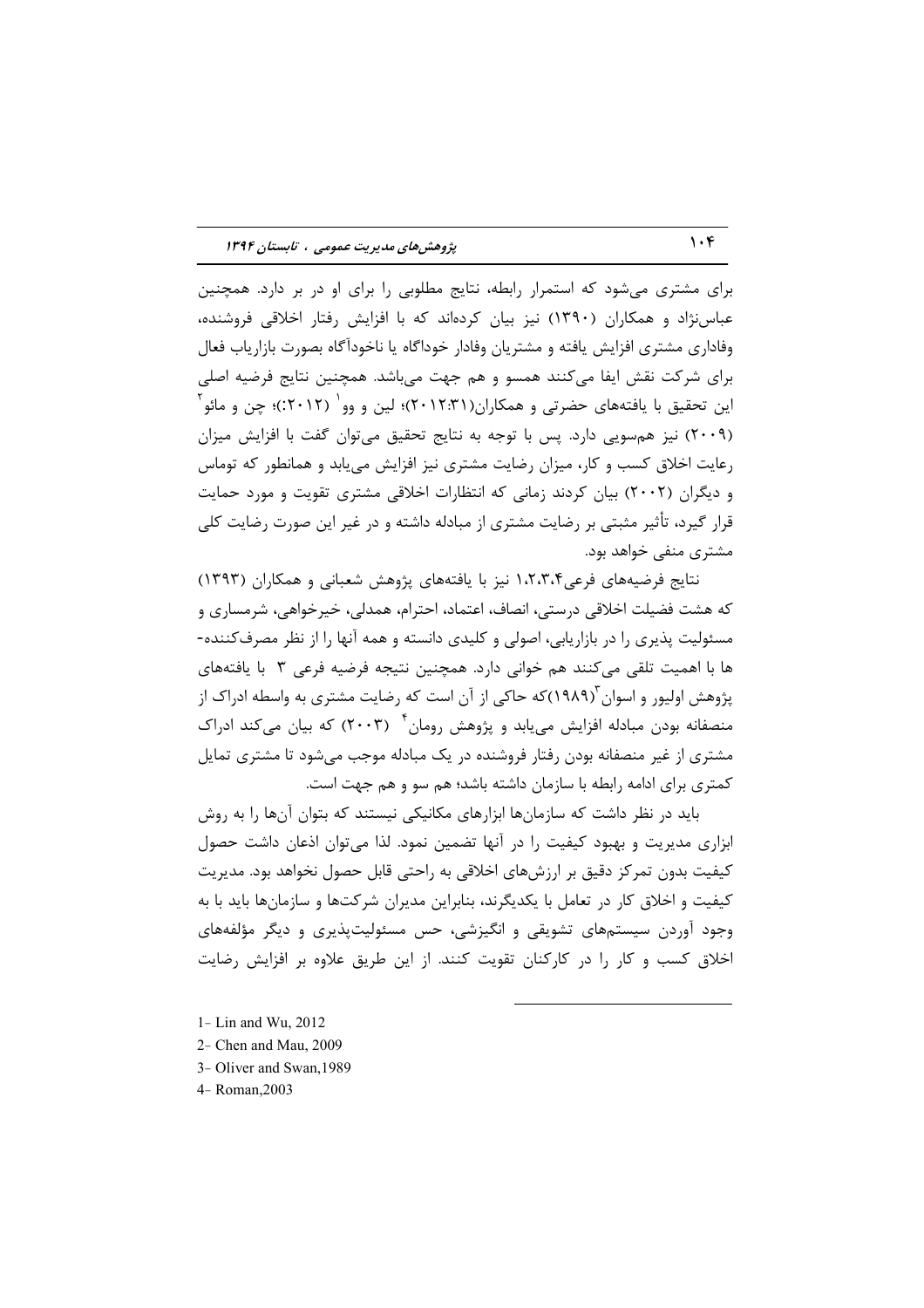برای مشتری می شود که استمرار رابطه، نتایج مطلوبی را برای او در بر دارد. همچنین عباس; او همکاران (۱۳۹۰) نیز بیان کردهاند که با افزایش رفتار اخلاقی فروشنده، وفاداری مشتری افزایش یافته و مشتریان وفادار خوداگاه یا ناخودآگاه بصورت بازاریاب فعال براي شركت نقش ايفا مي كنند همسو و هم جهت مي باشد. همچنين نتايج فرضيه اصلي این تحقیق با یافتههای حضرتی و همکاران(۲۰۱۲:۳۱)؛ لین و وو<sup>۱</sup> (۲۰۱۲)؛ چن و مائو<sup>۲</sup> (۲۰۰۹) نیز همسویی دارد. پس با توجه به نتایج تحقیق می توان گفت با افزایش میزان رعایت اخلاق کسب و کار، میزان رضایت مشتری نیز افزایش می یابد و همانطور که توماس و دیگران (۲۰۰۲) بیان کردند زمانی که انتظارات اخلاقی مشتری تقویت و مورد حمایت قرار گیرد، تأثیر مثبتی بر رضایت مشتری از مبادله داشته و در غیر این صورت رضایت کلی مشتری منفی خواهد بود.

نتايج فرضيههاى فرعى ١،٢،٣،۴ نيز با يافتههاى يؤوهش شعبانى و همكاران (١٣٩٣) که هشت فضیلت اخلاقی درستی، انصاف، اعتماد، احترام، همدلی، خیرخواهی، شرمساری و مسئولیت پذیری را در بازاریابی، اصولی و کلیدی دانسته و همه آنها را از نظر مصرف کننده-ها با اهمیت تلقی میکنند هم خوانی دارد. همچنین نتیجه فرضیه فرعی ۳٪ با یافتههای پژوهش اولیور و اسوان ۱۹۸۹)که حاکی از آن است که رضایت مشتری به واسطه ادراک از منصفانه بودن مبادله افزایش مے یابد و پژوهش رومان ٔ (۲۰۰۳) که بیان مے کند ادراک مشتری از غیر منصفانه بودن رفتار فروشنده در یک مبادله موجب میشود تا مشتری تمایل كمترى براى ادامه رابطه با سازمان داشته باشد؛ هم سو و هم جهت است.

باید در نظر داشت که سازمانها ابزارهای مکانیکی نیستند که بتوان آنها را به روش ابزاری مدیریت و بهبود کیفیت را در آنها تضمین نمود. لذا می توان اذعان داشت حصول کیفیت بدون تمرکز دقیق بر ارزشهای اخلاقی به راحتی قابل حصول نخواهد بود. مدیریت کیفیت و اخلاق کار در تعامل با یکدیگرند، بنابراین مدیران شرکتها و سازمانها باید با به وجود آوردن سیستمهای تشویقی و انگیزشی، حس مسئولیتپذیری و دیگر مؤلفههای اخلاق کسب و کار را در کارکنان تقویت کنند. از این طریق علاوه بر افزایش رضایت

- 1- Lin and Wu, 2012
- 2- Chen and Mau, 2009
- 3- Oliver and Swan, 1989
- 4-Roman, 2003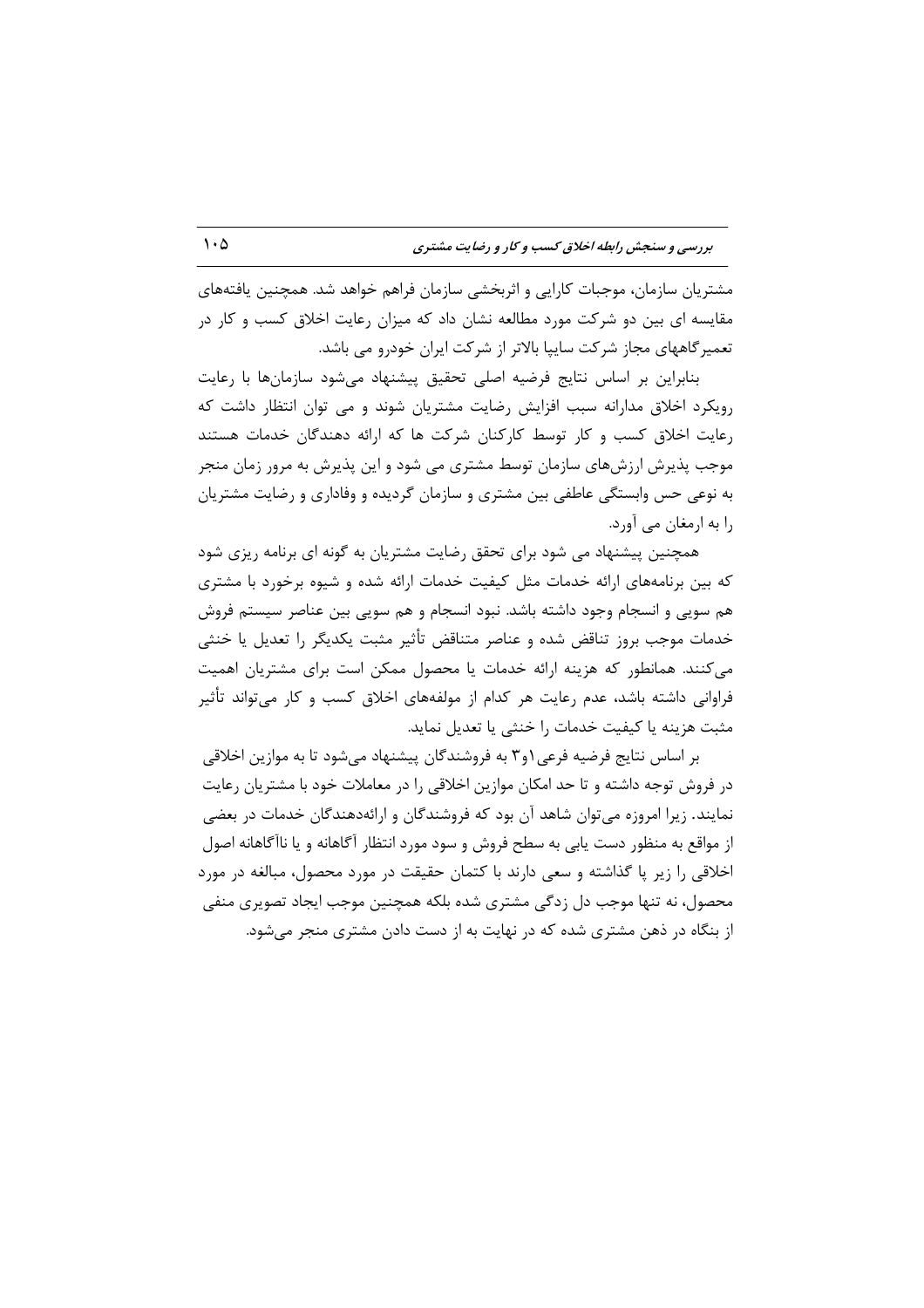مشتریان سازمان، موجبات کارایی و اثربخشی سازمان فراهم خواهد شد. همچنین یافتههای مقایسه ای بین دو شرکت مورد مطالعه نشان داد که میزان رعایت اخلاق کسب و کار در تعمیر گاههای مجاز شرکت ساییا بالاتر از شرکت ایران خودرو می باشد.

بنابراین بر اساس نتایج فرضیه اصلی تحقیق پیشنهاد می شود سازمانها با رعایت رویکرد اخلاق مدارانه سبب افزایش رضایت مشتریان شوند و می توان انتظار داشت که رعایت اخلاق کسب و کار توسط کارکنان شرکت ها که ارائه دهندگان خدمات هستند موجب پذیرش ارزشهای سازمان توسط مشتری می شود و این پذیرش به مرور زمان منجر به نوعی حس وابستگی عاطفی بین مشتری و سازمان گردیده و وفاداری و رضایت مشتریان را به ارمغان می آورد.

همچنین پیشنهاد می شود برای تحقق رضایت مشتریان به گونه ای برنامه ریزی شود که بین برنامههای ارائه خدمات مثل کیفیت خدمات ارائه شده و شیوه برخورد با مشتری هم سویی و انسجام وجود داشته باشد. نبود انسجام و هم سویی بین عناصر سیستم فروش خدمات موجب بروز تناقض شده و عناصر متناقض تأثير مثبت يكديگر را تعديل يا خنثى می کنند. همانطور که هزینه ارائه خدمات یا محصول ممکن است برای مشتریان اهمیت فراوانی داشته باشد، عدم رعایت هر کدام از مولفههای اخلاق کسب و کار میتواند تأثیر مثبت هزينه يا كيفيت خدمات ,ا خنثى يا تعديل نمايد.

بر اساس نتايج فرضيه فرعي (٣٩ به فروشندگان پيشنهاد مي شود تا به موازين اخلاقي در فروش توجه داشته و تا حد امکان موازین اخلاقی را در معاملات خود با مشتریان رعایت نمایند. زیرا امروزه می توان شاهد آن بود که فروشندگان و ارائهدهندگان خدمات در بعضی از مواقع به منظور دست پایی به سطح فروش و سود مورد انتظار آگاهانه و یا ناآگاهانه اصول اخلاقی را زیر پا گذاشته و سعی دارند با کتمان حقیقت در مورد محصول، مبالغه در مورد محصول، نه تنها موجب دل زدگی مشتری شده بلکه همچنین موجب ایجاد تصویری منفی از بنگاه در ذهن مشتری شده که در نهایت به از دست دادن مشتری منجر می شود.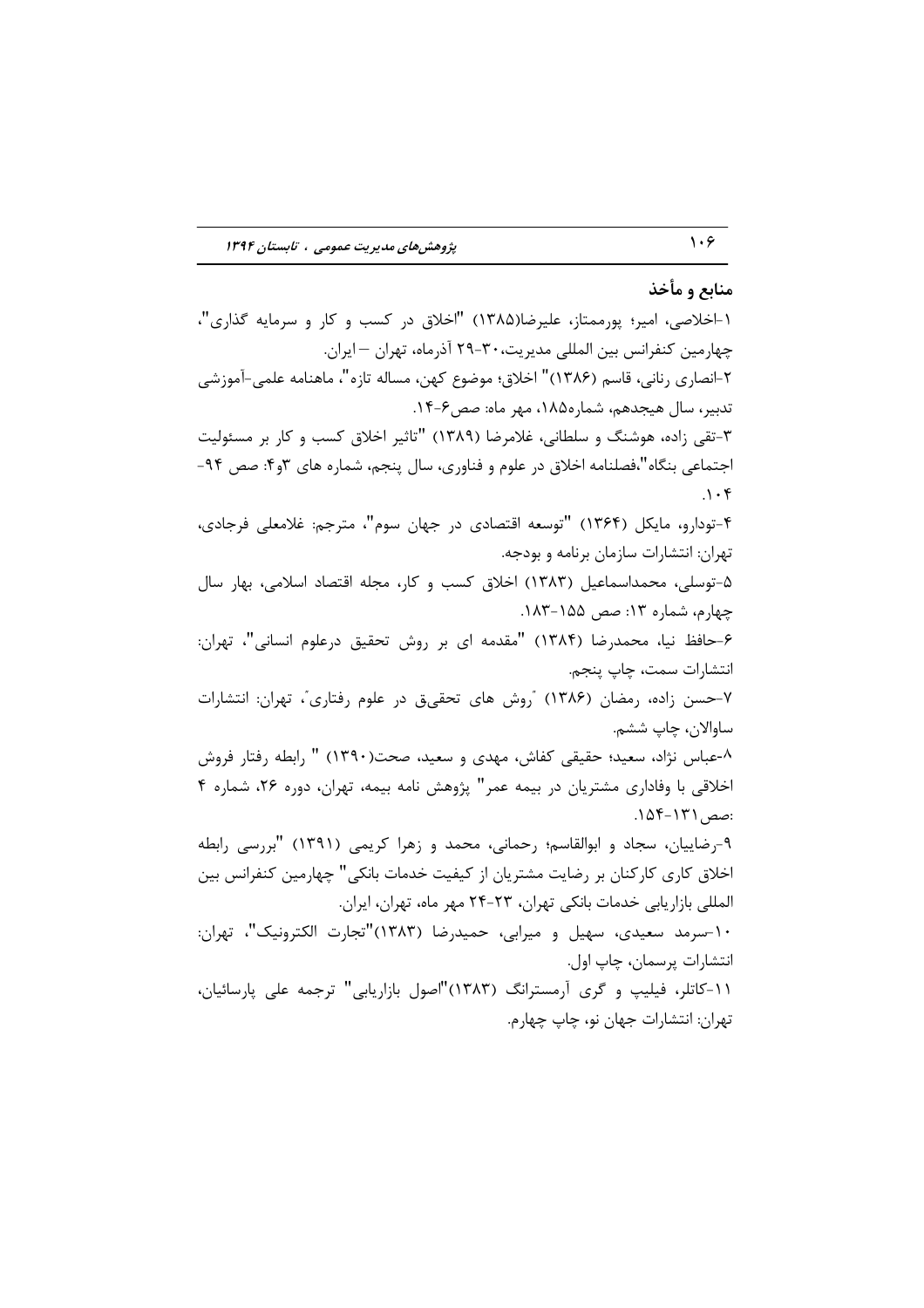#### منابع و مأخذ

۱-اخلاصی، امیر؛ پورممتاز، علیرضا(۱۳۸۵) "اخلاق در کسب و کار و سرمایه گذاری"، چهارمین کنفرانس بین المللی مدیریت،۳۰–۲۹ آذرماه، تهران — ایران. ٢-انصاري رناني، قاسم (١٣٨۶)" اخلاق؛ موضوع كهن، مساله تازه"، ماهنامه علمي-آموزشي تدبیر، سال هیجدهم، شماره۱۸۵۵، مهر ماه: صص۶-۱۴. ۳-تقی زاده، هوشنگ و سلطانی، غلامرضا (۱۳۸۹) "تاثیر اخلاق کسب و کار بر مسئولیت اجتماعي بنگاه"،فصلنامه اخلاق در علوم و فناوري، سال پنجم، شماره هاي ۶۳- صص ۹۴- $\Lambda \cdot f$ ۴-تودارو، مایکل (۱۳۶۴) "توسعه اقتصادی در جهان سوم"، مترجم: غلامعلی فرجادی، تهران: انتشارات سازمان برنامه و بودجه. ۵-توسلی، محمداسماعیل (۱۳۸۳) اخلاق کسب و کار، مجله اقتصاد اسلامی، بهار سال چهارم، شماره ۱۳: صص ۱۵۵–۱۸۳. ۶–حافظ نیا، محمدرضا (۱۳۸۴) "مقدمه ای بر روش تحقیق درعلوم انسانی"، تهران: انتشارات سمت، چاپ پنجم. ۷-حسن زاده، رمضان (۱۳۸۶) "روش های تحقیق در علوم رفتاری"، تهران: انتشارات ساوالان، چاپ ششم. ۸-عباس نژاد، سعید؛ حقیقی کفاش، مهدی و سعید، صحت(۱۳۹۰) " رابطه رفتار فروش اخلاقی با وفاداری مشتریان در بیمه عمر" پژوهش نامه بیمه، تهران، دوره ۲۶، شماره ۴ :صص ١٣١-١٥۴. ۹-رضاییان، سجاد و ابوالقاسم؛ رحمانی، محمد و زهرا کریمی (۱۳۹۱) "بررسی رابطه اخلاق کاری کارکنان بر رضایت مشتریان از کیفیت خدمات بانکی" چهارمین کنفرانس بین المللی بازاریابی خدمات بانکی تهران، ٢٣-٢۴ مهر ماه، تهران، ایران. ۱۰-سرمد سعیدی، سهیل و میرابی، حمیدرضا (۱۳۸۳)"تجارت الکترونیک"، تهران: انتشارات پرسمان، چاپ اول. ١١-كاتلر، فيليپ و كرى آرمسترانك (١٣٨٣)"اصول بازاريابي" ترجمه على پارسائيان، تهران: انتشارات جهان نو، چاپ چهارم.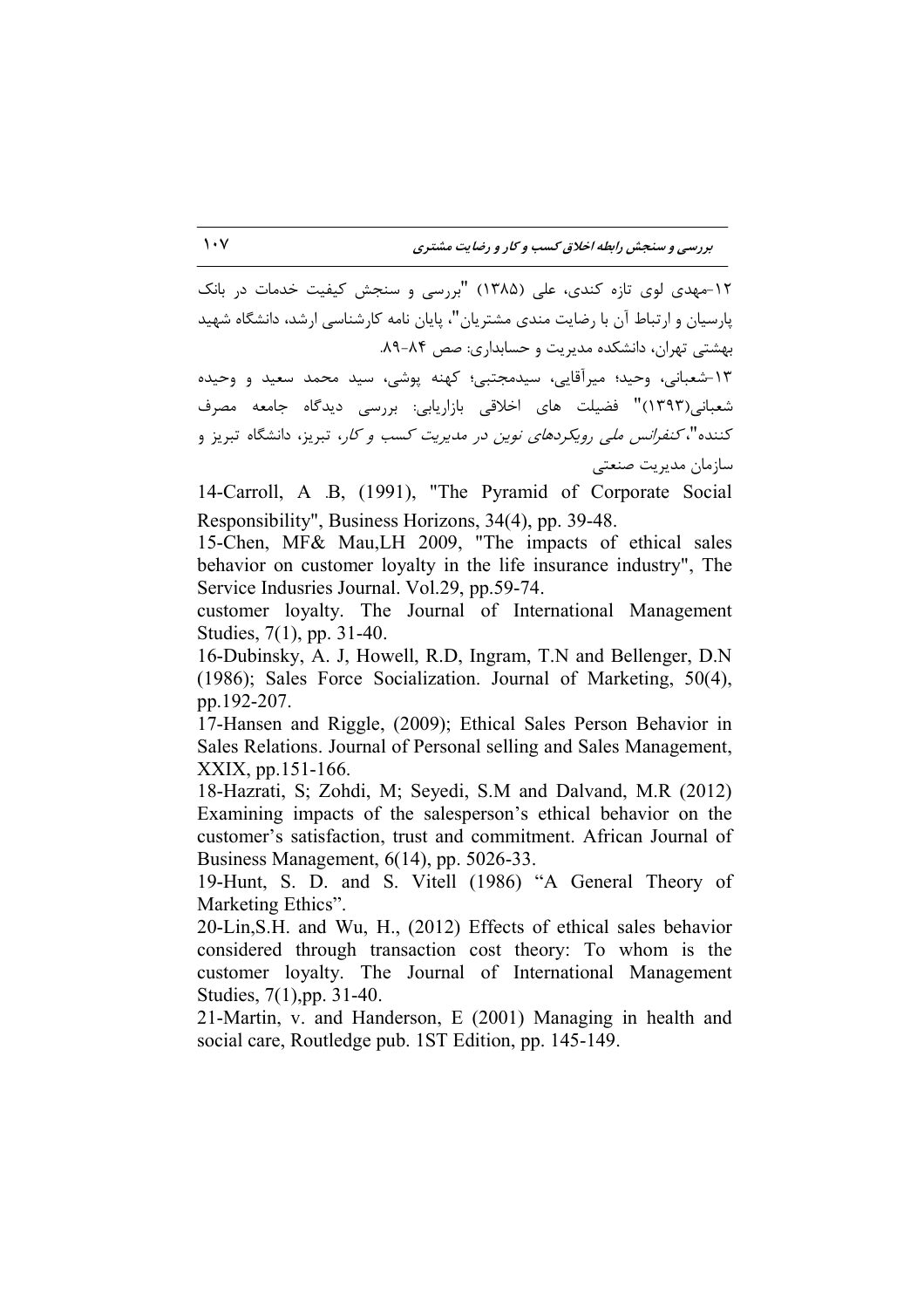١٢-مهدى لوى تازه كندى، على (١٣٨۵) "بررسى و سنجش كيفيت خدمات در بانك پارسیان و ارتباط آن با رضایت مندی مشتریان"، پایان نامه کارشناسی ارشد، دانشگاه شهید بهشتی تهران، دانشکده مدیریت و حسابداری: صص ۸۴–۸۹. ۱۳-شعبانی، وحید؛ میراًقایی، سیدمجتبی؛ کهنه پوشی، سید محمد سعید و وحیده شعبانی(۱۳۹۳)" فضیلت های اخلاقی بازاریابی: بررسی دیدگاه جامعه مصرف کننده"، *کنفرانس ملی رویکردهای نوین در مدیریت کسب و کار*، تبریز، دانشگاه تبریز و سازمان مديريت صنعتي

14-Carroll, A .B, (1991), "The Pyramid of Corporate Social Responsibility", Business Horizons, 34(4), pp. 39-48.

15-Chen, MF& Mau,LH 2009, "The impacts of ethical sales behavior on customer loyalty in the life insurance industry", The Service Indusries Journal. Vol.29, pp.59-74.

customer loyalty. The Journal of International Management Studies, 7(1), pp. 31-40.

16-Dubinsky, A. J, Howell, R.D, Ingram, T.N and Bellenger, D.N (1986); Sales Force Socialization. Journal of Marketing, 50(4), pp.192-207.

17-Hansen and Riggle, (2009); Ethical Sales Person Behavior in Sales Relations. Journal of Personal selling and Sales Management, XXIX, pp.151-166.

18-Hazrati, S; Zohdi, M; Seyedi, S.M and Dalvand, M.R (2012) Examining impacts of the salesperson's ethical behavior on the customer's satisfaction, trust and commitment. African Journal of Business Management, 6(14), pp. 5026-33.

19-Hunt, S. D. and S. Vitell (1986) "A General Theory of Marketing Ethics".

20-Lin,S.H. and Wu, H., (2012) Effects of ethical sales behavior considered through transaction cost theory: To whom is the customer loyalty. The Journal of International Management Studies, 7(1),pp. 31-40.

21-Martin, v. and Handerson, E (2001) Managing in health and social care, Routledge pub. 1ST Edition, pp. 145-149.